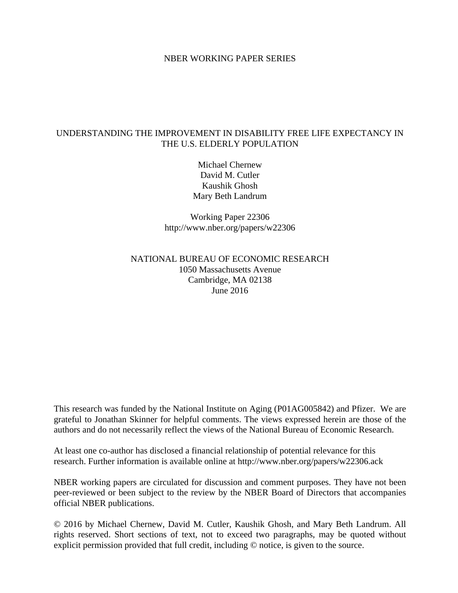## NBER WORKING PAPER SERIES

## UNDERSTANDING THE IMPROVEMENT IN DISABILITY FREE LIFE EXPECTANCY IN THE U.S. ELDERLY POPULATION

Michael Chernew David M. Cutler Kaushik Ghosh Mary Beth Landrum

Working Paper 22306 http://www.nber.org/papers/w22306

## NATIONAL BUREAU OF ECONOMIC RESEARCH 1050 Massachusetts Avenue Cambridge, MA 02138 June 2016

This research was funded by the National Institute on Aging (P01AG005842) and Pfizer. We are grateful to Jonathan Skinner for helpful comments. The views expressed herein are those of the authors and do not necessarily reflect the views of the National Bureau of Economic Research.

At least one co-author has disclosed a financial relationship of potential relevance for this research. Further information is available online at http://www.nber.org/papers/w22306.ack

NBER working papers are circulated for discussion and comment purposes. They have not been peer-reviewed or been subject to the review by the NBER Board of Directors that accompanies official NBER publications.

© 2016 by Michael Chernew, David M. Cutler, Kaushik Ghosh, and Mary Beth Landrum. All rights reserved. Short sections of text, not to exceed two paragraphs, may be quoted without explicit permission provided that full credit, including © notice, is given to the source.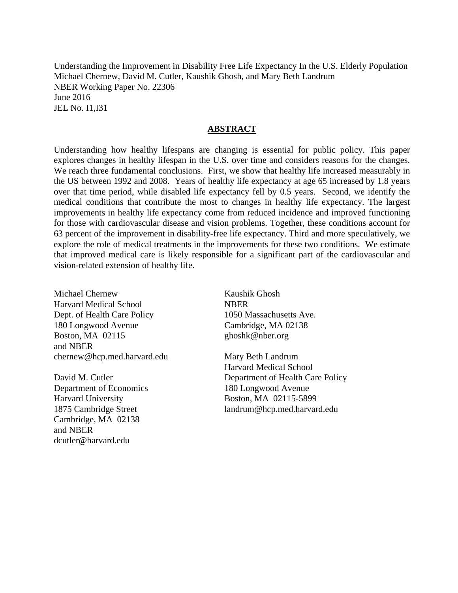Understanding the Improvement in Disability Free Life Expectancy In the U.S. Elderly Population Michael Chernew, David M. Cutler, Kaushik Ghosh, and Mary Beth Landrum NBER Working Paper No. 22306 June 2016 JEL No. I1,I31

### **ABSTRACT**

Understanding how healthy lifespans are changing is essential for public policy. This paper explores changes in healthy lifespan in the U.S. over time and considers reasons for the changes. We reach three fundamental conclusions. First, we show that healthy life increased measurably in the US between 1992 and 2008. Years of healthy life expectancy at age 65 increased by 1.8 years over that time period, while disabled life expectancy fell by 0.5 years. Second, we identify the medical conditions that contribute the most to changes in healthy life expectancy. The largest improvements in healthy life expectancy come from reduced incidence and improved functioning for those with cardiovascular disease and vision problems. Together, these conditions account for 63 percent of the improvement in disability-free life expectancy. Third and more speculatively, we explore the role of medical treatments in the improvements for these two conditions. We estimate that improved medical care is likely responsible for a significant part of the cardiovascular and vision-related extension of healthy life.

Michael Chernew Harvard Medical School Dept. of Health Care Policy 180 Longwood Avenue Boston, MA 02115 and NBER chernew@hcp.med.harvard.edu

David M. Cutler Department of Economics Harvard University 1875 Cambridge Street Cambridge, MA 02138 and NBER dcutler@harvard.edu

Kaushik Ghosh **NBER** 1050 Massachusetts Ave. Cambridge, MA 02138 ghoshk@nber.org

Mary Beth Landrum Harvard Medical School Department of Health Care Policy 180 Longwood Avenue Boston, MA 02115-5899 landrum@hcp.med.harvard.edu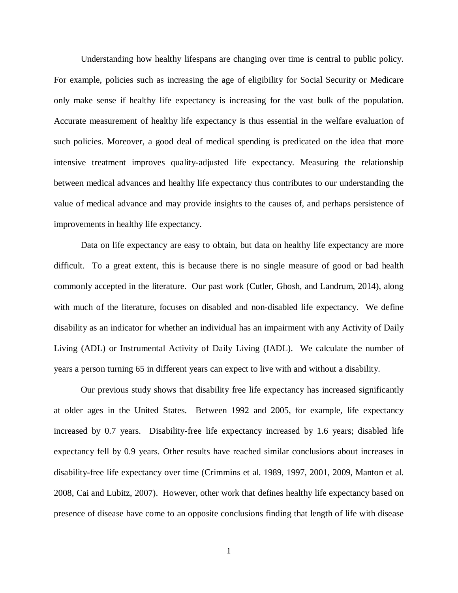Understanding how healthy lifespans are changing over time is central to public policy. For example, policies such as increasing the age of eligibility for Social Security or Medicare only make sense if healthy life expectancy is increasing for the vast bulk of the population. Accurate measurement of healthy life expectancy is thus essential in the welfare evaluation of such policies. Moreover, a good deal of medical spending is predicated on the idea that more intensive treatment improves quality-adjusted life expectancy. Measuring the relationship between medical advances and healthy life expectancy thus contributes to our understanding the value of medical advance and may provide insights to the causes of, and perhaps persistence of improvements in healthy life expectancy.

Data on life expectancy are easy to obtain, but data on healthy life expectancy are more difficult. To a great extent, this is because there is no single measure of good or bad health commonly accepted in the literature. Our past work (Cutler, Ghosh, and Landrum, 2014), along with much of the literature, focuses on disabled and non-disabled life expectancy. We define disability as an indicator for whether an individual has an impairment with any Activity of Daily Living (ADL) or Instrumental Activity of Daily Living (IADL). We calculate the number of years a person turning 65 in different years can expect to live with and without a disability.

Our previous study shows that disability free life expectancy has increased significantly at older ages in the United States. Between 1992 and 2005, for example, life expectancy increased by 0.7 years. Disability-free life expectancy increased by 1.6 years; disabled life expectancy fell by 0.9 years. Other results have reached similar conclusions about increases in disability-free life expectancy over time (Crimmins et al. 1989, 1997, 2001, 2009, Manton et al. 2008, Cai and Lubitz, 2007). However, other work that defines healthy life expectancy based on presence of disease have come to an opposite conclusions finding that length of life with disease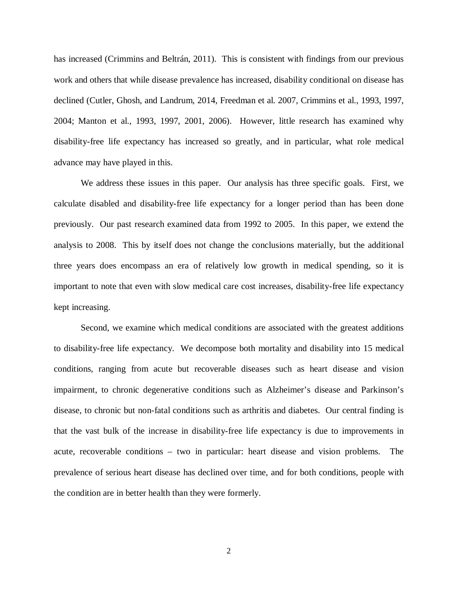has increased (Crimmins and Beltrán, 2011). This is consistent with findings from our previous work and others that while disease prevalence has increased, disability conditional on disease has declined (Cutler, Ghosh, and Landrum, 2014, Freedman et al. 2007, Crimmins et al., 1993, 1997, 2004; Manton et al., 1993, 1997, 2001, 2006). However, little research has examined why disability-free life expectancy has increased so greatly, and in particular, what role medical advance may have played in this.

We address these issues in this paper. Our analysis has three specific goals. First, we calculate disabled and disability-free life expectancy for a longer period than has been done previously. Our past research examined data from 1992 to 2005. In this paper, we extend the analysis to 2008. This by itself does not change the conclusions materially, but the additional three years does encompass an era of relatively low growth in medical spending, so it is important to note that even with slow medical care cost increases, disability-free life expectancy kept increasing.

Second, we examine which medical conditions are associated with the greatest additions to disability-free life expectancy. We decompose both mortality and disability into 15 medical conditions, ranging from acute but recoverable diseases such as heart disease and vision impairment, to chronic degenerative conditions such as Alzheimer's disease and Parkinson's disease, to chronic but non-fatal conditions such as arthritis and diabetes. Our central finding is that the vast bulk of the increase in disability-free life expectancy is due to improvements in acute, recoverable conditions – two in particular: heart disease and vision problems. The prevalence of serious heart disease has declined over time, and for both conditions, people with the condition are in better health than they were formerly.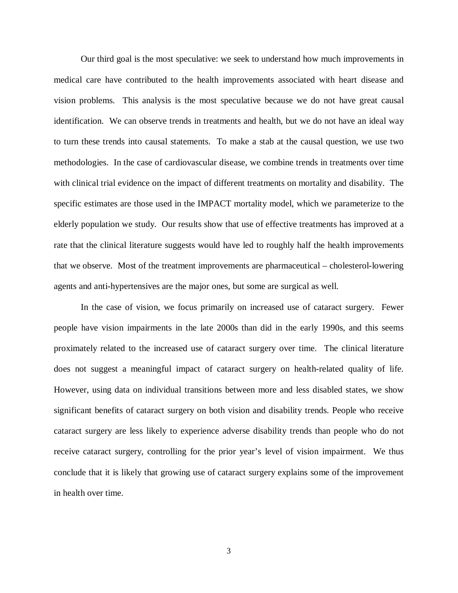Our third goal is the most speculative: we seek to understand how much improvements in medical care have contributed to the health improvements associated with heart disease and vision problems. This analysis is the most speculative because we do not have great causal identification. We can observe trends in treatments and health, but we do not have an ideal way to turn these trends into causal statements. To make a stab at the causal question, we use two methodologies. In the case of cardiovascular disease, we combine trends in treatments over time with clinical trial evidence on the impact of different treatments on mortality and disability. The specific estimates are those used in the IMPACT mortality model, which we parameterize to the elderly population we study. Our results show that use of effective treatments has improved at a rate that the clinical literature suggests would have led to roughly half the health improvements that we observe. Most of the treatment improvements are pharmaceutical – cholesterol-lowering agents and anti-hypertensives are the major ones, but some are surgical as well.

In the case of vision, we focus primarily on increased use of cataract surgery. Fewer people have vision impairments in the late 2000s than did in the early 1990s, and this seems proximately related to the increased use of cataract surgery over time. The clinical literature does not suggest a meaningful impact of cataract surgery on health-related quality of life. However, using data on individual transitions between more and less disabled states, we show significant benefits of cataract surgery on both vision and disability trends. People who receive cataract surgery are less likely to experience adverse disability trends than people who do not receive cataract surgery, controlling for the prior year's level of vision impairment. We thus conclude that it is likely that growing use of cataract surgery explains some of the improvement in health over time.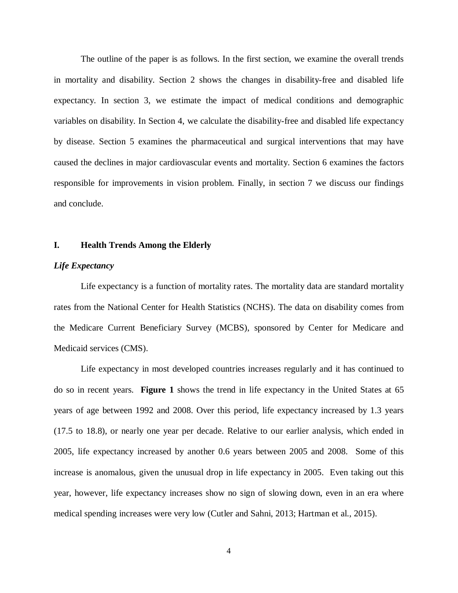The outline of the paper is as follows. In the first section, we examine the overall trends in mortality and disability. Section 2 shows the changes in disability-free and disabled life expectancy. In section 3, we estimate the impact of medical conditions and demographic variables on disability. In Section 4, we calculate the disability-free and disabled life expectancy by disease. Section 5 examines the pharmaceutical and surgical interventions that may have caused the declines in major cardiovascular events and mortality. Section 6 examines the factors responsible for improvements in vision problem. Finally, in section 7 we discuss our findings and conclude.

## **I. Health Trends Among the Elderly**

#### *Life Expectancy*

Life expectancy is a function of mortality rates. The mortality data are standard mortality rates from the National Center for Health Statistics (NCHS). The data on disability comes from the Medicare Current Beneficiary Survey (MCBS), sponsored by Center for Medicare and Medicaid services (CMS).

Life expectancy in most developed countries increases regularly and it has continued to do so in recent years. **Figure 1** shows the trend in life expectancy in the United States at 65 years of age between 1992 and 2008. Over this period, life expectancy increased by 1.3 years (17.5 to 18.8), or nearly one year per decade. Relative to our earlier analysis, which ended in 2005, life expectancy increased by another 0.6 years between 2005 and 2008. Some of this increase is anomalous, given the unusual drop in life expectancy in 2005. Even taking out this year, however, life expectancy increases show no sign of slowing down, even in an era where medical spending increases were very low (Cutler and Sahni, 2013; Hartman et al., 2015).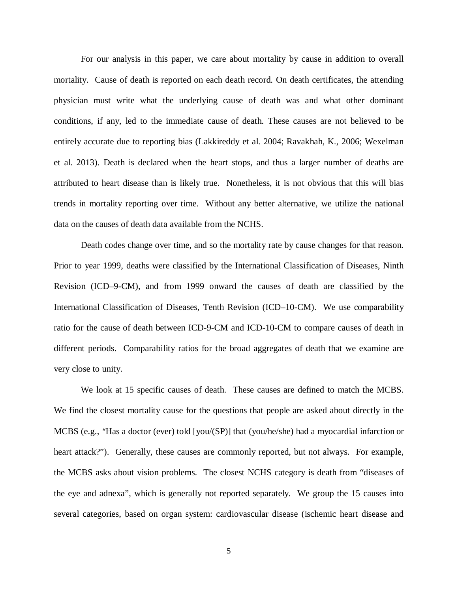For our analysis in this paper, we care about mortality by cause in addition to overall mortality. Cause of death is reported on each death record. On death certificates, the attending physician must write what the underlying cause of death was and what other dominant conditions, if any, led to the immediate cause of death. These causes are not believed to be entirely accurate due to reporting bias (Lakkireddy et al. 2004; Ravakhah, K., 2006; Wexelman et al. 2013). Death is declared when the heart stops, and thus a larger number of deaths are attributed to heart disease than is likely true. Nonetheless, it is not obvious that this will bias trends in mortality reporting over time. Without any better alternative, we utilize the national data on the causes of death data available from the NCHS.

Death codes change over time, and so the mortality rate by cause changes for that reason. Prior to year 1999, deaths were classified by the International Classification of Diseases, Ninth Revision (ICD–9-CM), and from 1999 onward the causes of death are classified by the International Classification of Diseases, Tenth Revision (ICD–10-CM). We use comparability ratio for the cause of death between ICD-9-CM and ICD-10-CM to compare causes of death in different periods. Comparability ratios for the broad aggregates of death that we examine are very close to unity.

We look at 15 specific causes of death. These causes are defined to match the MCBS. We find the closest mortality cause for the questions that people are asked about directly in the MCBS (e.g., "Has a doctor (ever) told [you/(SP)] that (you/he/she) had a myocardial infarction or heart attack?"). Generally, these causes are commonly reported, but not always. For example, the MCBS asks about vision problems. The closest NCHS category is death from "diseases of the eye and adnexa", which is generally not reported separately. We group the 15 causes into several categories, based on organ system: cardiovascular disease (ischemic heart disease and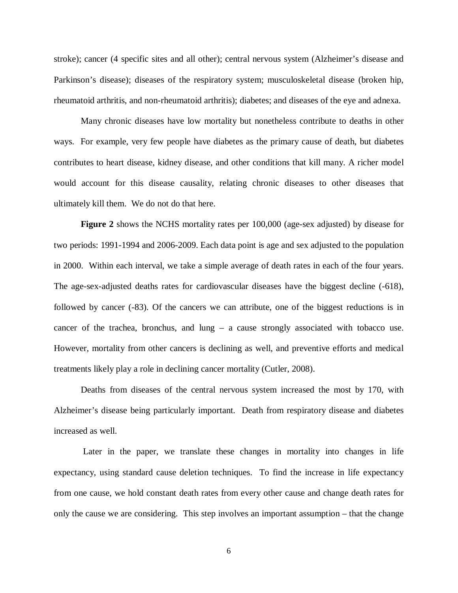stroke); cancer (4 specific sites and all other); central nervous system (Alzheimer's disease and Parkinson's disease); diseases of the respiratory system; musculoskeletal disease (broken hip, rheumatoid arthritis, and non-rheumatoid arthritis); diabetes; and diseases of the eye and adnexa.

Many chronic diseases have low mortality but nonetheless contribute to deaths in other ways. For example, very few people have diabetes as the primary cause of death, but diabetes contributes to heart disease, kidney disease, and other conditions that kill many. A richer model would account for this disease causality, relating chronic diseases to other diseases that ultimately kill them. We do not do that here.

**Figure 2** shows the NCHS mortality rates per 100,000 (age-sex adjusted) by disease for two periods: 1991-1994 and 2006-2009. Each data point is age and sex adjusted to the population in 2000. Within each interval, we take a simple average of death rates in each of the four years. The age-sex-adjusted deaths rates for cardiovascular diseases have the biggest decline (-618), followed by cancer (-83). Of the cancers we can attribute, one of the biggest reductions is in cancer of the trachea, bronchus, and lung – a cause strongly associated with tobacco use. However, mortality from other cancers is declining as well, and preventive efforts and medical treatments likely play a role in declining cancer mortality (Cutler, 2008).

Deaths from diseases of the central nervous system increased the most by 170, with Alzheimer's disease being particularly important. Death from respiratory disease and diabetes increased as well.

Later in the paper, we translate these changes in mortality into changes in life expectancy, using standard cause deletion techniques. To find the increase in life expectancy from one cause, we hold constant death rates from every other cause and change death rates for only the cause we are considering. This step involves an important assumption – that the change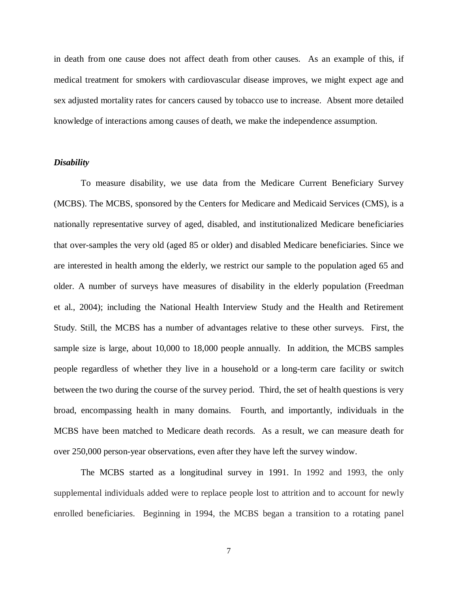in death from one cause does not affect death from other causes. As an example of this, if medical treatment for smokers with cardiovascular disease improves, we might expect age and sex adjusted mortality rates for cancers caused by tobacco use to increase. Absent more detailed knowledge of interactions among causes of death, we make the independence assumption.

### *Disability*

To measure disability, we use data from the Medicare Current Beneficiary Survey (MCBS). The MCBS, sponsored by the Centers for Medicare and Medicaid Services (CMS), is a nationally representative survey of aged, disabled, and institutionalized Medicare beneficiaries that over-samples the very old (aged 85 or older) and disabled Medicare beneficiaries. Since we are interested in health among the elderly, we restrict our sample to the population aged 65 and older. A number of surveys have measures of disability in the elderly population (Freedman et al., 2004); including the National Health Interview Study and the Health and Retirement Study. Still, the MCBS has a number of advantages relative to these other surveys. First, the sample size is large, about 10,000 to 18,000 people annually. In addition, the MCBS samples people regardless of whether they live in a household or a long-term care facility or switch between the two during the course of the survey period. Third, the set of health questions is very broad, encompassing health in many domains. Fourth, and importantly, individuals in the MCBS have been matched to Medicare death records. As a result, we can measure death for over 250,000 person-year observations, even after they have left the survey window.

The MCBS started as a longitudinal survey in 1991. In 1992 and 1993, the only supplemental individuals added were to replace people lost to attrition and to account for newly enrolled beneficiaries. Beginning in 1994, the MCBS began a transition to a rotating panel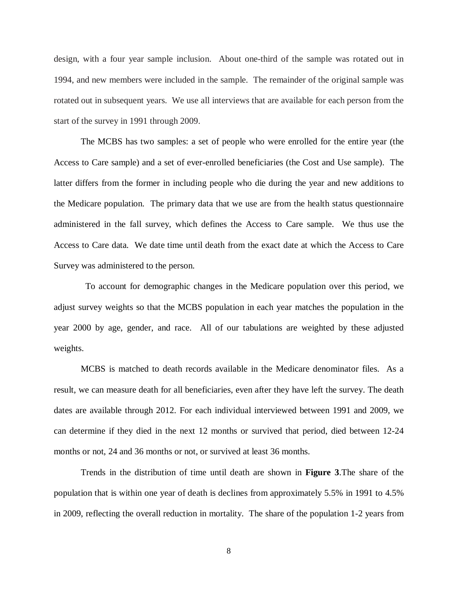design, with a four year sample inclusion. About one-third of the sample was rotated out in 1994, and new members were included in the sample. The remainder of the original sample was rotated out in subsequent years. We use all interviews that are available for each person from the start of the survey in 1991 through 2009.

The MCBS has two samples: a set of people who were enrolled for the entire year (the Access to Care sample) and a set of ever-enrolled beneficiaries (the Cost and Use sample). The latter differs from the former in including people who die during the year and new additions to the Medicare population. The primary data that we use are from the health status questionnaire administered in the fall survey, which defines the Access to Care sample. We thus use the Access to Care data. We date time until death from the exact date at which the Access to Care Survey was administered to the person.

 To account for demographic changes in the Medicare population over this period, we adjust survey weights so that the MCBS population in each year matches the population in the year 2000 by age, gender, and race. All of our tabulations are weighted by these adjusted weights.

MCBS is matched to death records available in the Medicare denominator files. As a result, we can measure death for all beneficiaries, even after they have left the survey. The death dates are available through 2012. For each individual interviewed between 1991 and 2009, we can determine if they died in the next 12 months or survived that period, died between 12-24 months or not, 24 and 36 months or not, or survived at least 36 months.

Trends in the distribution of time until death are shown in **Figure 3**.The share of the population that is within one year of death is declines from approximately 5.5% in 1991 to 4.5% in 2009, reflecting the overall reduction in mortality. The share of the population 1-2 years from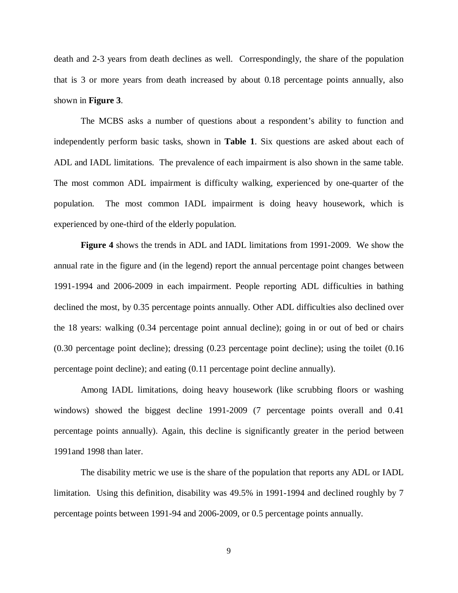death and 2-3 years from death declines as well. Correspondingly, the share of the population that is 3 or more years from death increased by about 0.18 percentage points annually, also shown in **Figure 3**.

The MCBS asks a number of questions about a respondent's ability to function and independently perform basic tasks, shown in **Table 1**. Six questions are asked about each of ADL and IADL limitations. The prevalence of each impairment is also shown in the same table. The most common ADL impairment is difficulty walking, experienced by one-quarter of the population. The most common IADL impairment is doing heavy housework, which is experienced by one-third of the elderly population.

**Figure 4** shows the trends in ADL and IADL limitations from 1991-2009. We show the annual rate in the figure and (in the legend) report the annual percentage point changes between 1991-1994 and 2006-2009 in each impairment. People reporting ADL difficulties in bathing declined the most, by 0.35 percentage points annually. Other ADL difficulties also declined over the 18 years: walking (0.34 percentage point annual decline); going in or out of bed or chairs (0.30 percentage point decline); dressing (0.23 percentage point decline); using the toilet (0.16 percentage point decline); and eating (0.11 percentage point decline annually).

Among IADL limitations, doing heavy housework (like scrubbing floors or washing windows) showed the biggest decline 1991-2009 (7 percentage points overall and 0.41 percentage points annually). Again, this decline is significantly greater in the period between 1991and 1998 than later.

The disability metric we use is the share of the population that reports any ADL or IADL limitation. Using this definition, disability was 49.5% in 1991-1994 and declined roughly by 7 percentage points between 1991-94 and 2006-2009, or 0.5 percentage points annually.

9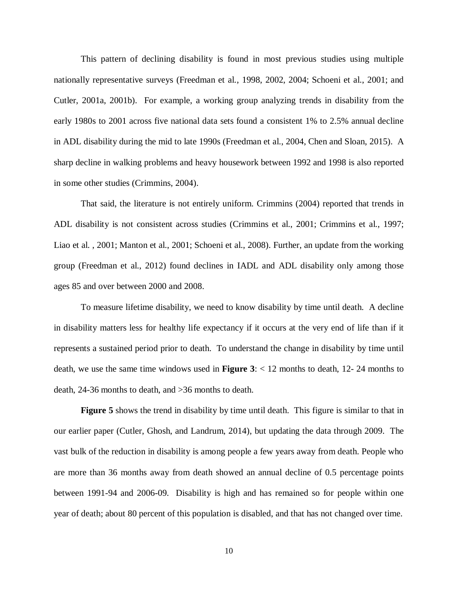This pattern of declining disability is found in most previous studies using multiple nationally representative surveys (Freedman et al., 1998, 2002, 2004; Schoeni et al., 2001; and Cutler, 2001a, 2001b). For example, a working group analyzing trends in disability from the early 1980s to 2001 across five national data sets found a consistent 1% to 2.5% annual decline in ADL disability during the mid to late 1990s (Freedman et al., 2004, Chen and Sloan, 2015). A sharp decline in walking problems and heavy housework between 1992 and 1998 is also reported in some other studies (Crimmins, 2004).

That said, the literature is not entirely uniform. Crimmins (2004) reported that trends in ADL disability is not consistent across studies (Crimmins et al., 2001; Crimmins et al., 1997; Liao et al. , 2001; Manton et al., 2001; Schoeni et al., 2008). Further, an update from the working group (Freedman et al., 2012) found declines in IADL and ADL disability only among those ages 85 and over between 2000 and 2008.

To measure lifetime disability, we need to know disability by time until death. A decline in disability matters less for healthy life expectancy if it occurs at the very end of life than if it represents a sustained period prior to death. To understand the change in disability by time until death, we use the same time windows used in **Figure 3**: < 12 months to death, 12- 24 months to death, 24-36 months to death, and >36 months to death.

**Figure 5** shows the trend in disability by time until death. This figure is similar to that in our earlier paper (Cutler, Ghosh, and Landrum, 2014), but updating the data through 2009. The vast bulk of the reduction in disability is among people a few years away from death. People who are more than 36 months away from death showed an annual decline of 0.5 percentage points between 1991-94 and 2006-09. Disability is high and has remained so for people within one year of death; about 80 percent of this population is disabled, and that has not changed over time.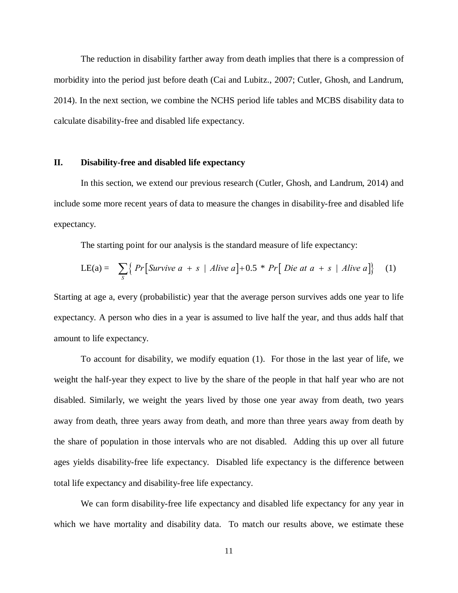The reduction in disability farther away from death implies that there is a compression of morbidity into the period just before death (Cai and Lubitz., 2007; Cutler, Ghosh, and Landrum, 2014). In the next section, we combine the NCHS period life tables and MCBS disability data to calculate disability-free and disabled life expectancy.

## **II. Disability-free and disabled life expectancy**

In this section, we extend our previous research (Cutler, Ghosh, and Landrum, 2014) and include some more recent years of data to measure the changes in disability-free and disabled life expectancy.

The starting point for our analysis is the standard measure of life expectancy:

$$
LE(a) = \sum_{S} \left\{ \Pr \left[ \text{Survive } a + s \mid \text{Alive } a \right] + 0.5 * \Pr \left[ \text{ Die } at \ a + s \mid \text{Alive } a \right] \right\} \tag{1}
$$

Starting at age a, every (probabilistic) year that the average person survives adds one year to life expectancy. A person who dies in a year is assumed to live half the year, and thus adds half that amount to life expectancy.

To account for disability, we modify equation (1). For those in the last year of life, we weight the half-year they expect to live by the share of the people in that half year who are not disabled. Similarly, we weight the years lived by those one year away from death, two years away from death, three years away from death, and more than three years away from death by the share of population in those intervals who are not disabled. Adding this up over all future ages yields disability-free life expectancy. Disabled life expectancy is the difference between total life expectancy and disability-free life expectancy.

We can form disability-free life expectancy and disabled life expectancy for any year in which we have mortality and disability data. To match our results above, we estimate these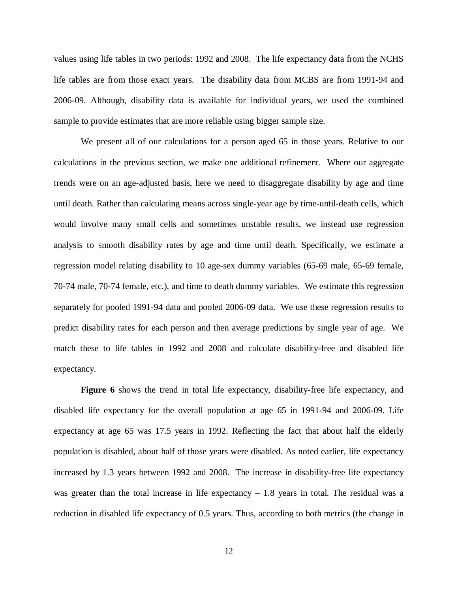values using life tables in two periods: 1992 and 2008. The life expectancy data from the NCHS life tables are from those exact years. The disability data from MCBS are from 1991-94 and 2006-09. Although, disability data is available for individual years, we used the combined sample to provide estimates that are more reliable using bigger sample size.

We present all of our calculations for a person aged 65 in those years. Relative to our calculations in the previous section, we make one additional refinement. Where our aggregate trends were on an age-adjusted basis, here we need to disaggregate disability by age and time until death. Rather than calculating means across single-year age by time-until-death cells, which would involve many small cells and sometimes unstable results, we instead use regression analysis to smooth disability rates by age and time until death. Specifically, we estimate a regression model relating disability to 10 age-sex dummy variables (65-69 male, 65-69 female, 70-74 male, 70-74 female, etc.), and time to death dummy variables. We estimate this regression separately for pooled 1991-94 data and pooled 2006-09 data. We use these regression results to predict disability rates for each person and then average predictions by single year of age. We match these to life tables in 1992 and 2008 and calculate disability-free and disabled life expectancy.

**Figure 6** shows the trend in total life expectancy, disability-free life expectancy, and disabled life expectancy for the overall population at age 65 in 1991-94 and 2006-09. Life expectancy at age 65 was 17.5 years in 1992. Reflecting the fact that about half the elderly population is disabled, about half of those years were disabled. As noted earlier, life expectancy increased by 1.3 years between 1992 and 2008. The increase in disability-free life expectancy was greater than the total increase in life expectancy  $-1.8$  years in total. The residual was a reduction in disabled life expectancy of 0.5 years. Thus, according to both metrics (the change in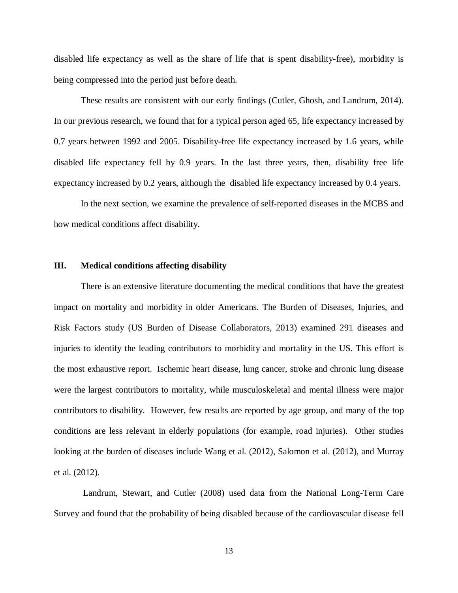disabled life expectancy as well as the share of life that is spent disability-free), morbidity is being compressed into the period just before death.

These results are consistent with our early findings (Cutler, Ghosh, and Landrum, 2014). In our previous research, we found that for a typical person aged 65, life expectancy increased by 0.7 years between 1992 and 2005. Disability-free life expectancy increased by 1.6 years, while disabled life expectancy fell by 0.9 years. In the last three years, then, disability free life expectancy increased by 0.2 years, although the disabled life expectancy increased by 0.4 years.

In the next section, we examine the prevalence of self-reported diseases in the MCBS and how medical conditions affect disability.

### **III. Medical conditions affecting disability**

There is an extensive literature documenting the medical conditions that have the greatest impact on mortality and morbidity in older Americans. The Burden of Diseases, Injuries, and Risk Factors study (US Burden of Disease Collaborators, 2013) examined 291 diseases and injuries to identify the leading contributors to morbidity and mortality in the US. This effort is the most exhaustive report. Ischemic heart disease, lung cancer, stroke and chronic lung disease were the largest contributors to mortality, while musculoskeletal and mental illness were major contributors to disability. However, few results are reported by age group, and many of the top conditions are less relevant in elderly populations (for example, road injuries). Other studies looking at the burden of diseases include Wang et al. (2012), Salomon et al. (2012), and Murray et al. (2012).

Landrum, Stewart, and Cutler (2008) used data from the National Long-Term Care Survey and found that the probability of being disabled because of the cardiovascular disease fell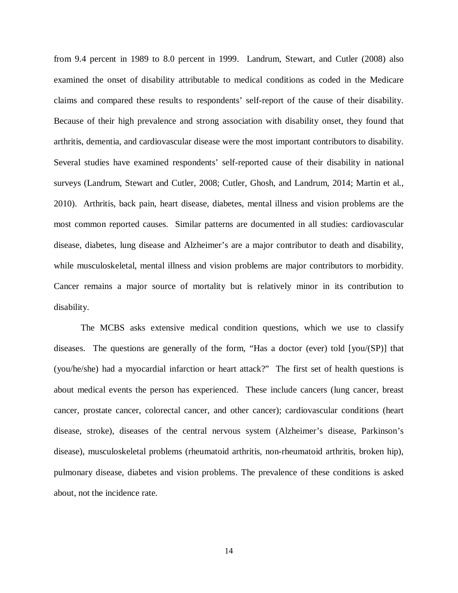from 9.4 percent in 1989 to 8.0 percent in 1999. Landrum, Stewart, and Cutler (2008) also examined the onset of disability attributable to medical conditions as coded in the Medicare claims and compared these results to respondents' self-report of the cause of their disability. Because of their high prevalence and strong association with disability onset, they found that arthritis, dementia, and cardiovascular disease were the most important contributors to disability. Several studies have examined respondents' self-reported cause of their disability in national surveys (Landrum, Stewart and Cutler, 2008; Cutler, Ghosh, and Landrum, 2014; Martin et al., 2010). Arthritis, back pain, heart disease, diabetes, mental illness and vision problems are the most common reported causes. Similar patterns are documented in all studies: cardiovascular disease, diabetes, lung disease and Alzheimer's are a major contributor to death and disability, while musculoskeletal, mental illness and vision problems are major contributors to morbidity. Cancer remains a major source of mortality but is relatively minor in its contribution to disability.

The MCBS asks extensive medical condition questions, which we use to classify diseases. The questions are generally of the form, "Has a doctor (ever) told [you/(SP)] that (you/he/she) had a myocardial infarction or heart attack?" The first set of health questions is about medical events the person has experienced. These include cancers (lung cancer, breast cancer, prostate cancer, colorectal cancer, and other cancer); cardiovascular conditions (heart disease, stroke), diseases of the central nervous system (Alzheimer's disease, Parkinson's disease), musculoskeletal problems (rheumatoid arthritis, non-rheumatoid arthritis, broken hip), pulmonary disease, diabetes and vision problems. The prevalence of these conditions is asked about, not the incidence rate.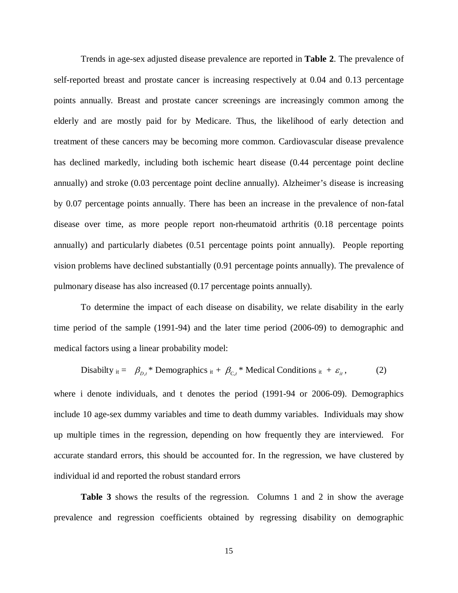Trends in age-sex adjusted disease prevalence are reported in **Table 2**. The prevalence of self-reported breast and prostate cancer is increasing respectively at 0.04 and 0.13 percentage points annually. Breast and prostate cancer screenings are increasingly common among the elderly and are mostly paid for by Medicare. Thus, the likelihood of early detection and treatment of these cancers may be becoming more common. Cardiovascular disease prevalence has declined markedly, including both ischemic heart disease (0.44 percentage point decline annually) and stroke (0.03 percentage point decline annually). Alzheimer's disease is increasing by 0.07 percentage points annually. There has been an increase in the prevalence of non-fatal disease over time, as more people report non-rheumatoid arthritis (0.18 percentage points annually) and particularly diabetes (0.51 percentage points point annually). People reporting vision problems have declined substantially (0.91 percentage points annually). The prevalence of pulmonary disease has also increased (0.17 percentage points annually).

To determine the impact of each disease on disability, we relate disability in the early time period of the sample (1991-94) and the later time period (2006-09) to demographic and medical factors using a linear probability model:

Disability 
$$
_{it} = \beta_{D,t} *
$$
 Demographies  $_{it} + \beta_{C,t} *$  Medical Conditions  $_{it} + \varepsilon_{it}$ , (2)

where i denote individuals, and t denotes the period (1991-94 or 2006-09). Demographics include 10 age-sex dummy variables and time to death dummy variables. Individuals may show up multiple times in the regression, depending on how frequently they are interviewed. For accurate standard errors, this should be accounted for. In the regression, we have clustered by individual id and reported the robust standard errors

**Table 3** shows the results of the regression. Columns 1 and 2 in show the average prevalence and regression coefficients obtained by regressing disability on demographic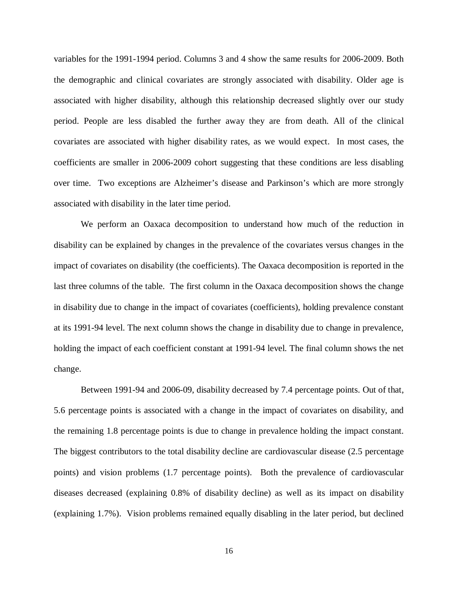variables for the 1991-1994 period. Columns 3 and 4 show the same results for 2006-2009. Both the demographic and clinical covariates are strongly associated with disability. Older age is associated with higher disability, although this relationship decreased slightly over our study period. People are less disabled the further away they are from death. All of the clinical covariates are associated with higher disability rates, as we would expect. In most cases, the coefficients are smaller in 2006-2009 cohort suggesting that these conditions are less disabling over time. Two exceptions are Alzheimer's disease and Parkinson's which are more strongly associated with disability in the later time period.

We perform an Oaxaca decomposition to understand how much of the reduction in disability can be explained by changes in the prevalence of the covariates versus changes in the impact of covariates on disability (the coefficients). The Oaxaca decomposition is reported in the last three columns of the table. The first column in the Oaxaca decomposition shows the change in disability due to change in the impact of covariates (coefficients), holding prevalence constant at its 1991-94 level. The next column shows the change in disability due to change in prevalence, holding the impact of each coefficient constant at 1991-94 level. The final column shows the net change.

Between 1991-94 and 2006-09, disability decreased by 7.4 percentage points. Out of that, 5.6 percentage points is associated with a change in the impact of covariates on disability, and the remaining 1.8 percentage points is due to change in prevalence holding the impact constant. The biggest contributors to the total disability decline are cardiovascular disease (2.5 percentage points) and vision problems (1.7 percentage points). Both the prevalence of cardiovascular diseases decreased (explaining 0.8% of disability decline) as well as its impact on disability (explaining 1.7%). Vision problems remained equally disabling in the later period, but declined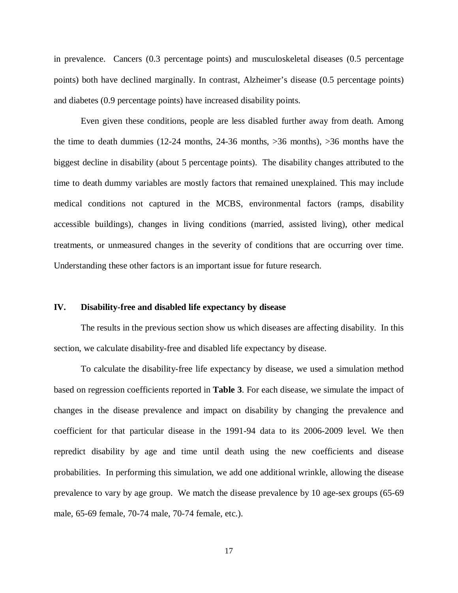in prevalence. Cancers (0.3 percentage points) and musculoskeletal diseases (0.5 percentage points) both have declined marginally. In contrast, Alzheimer's disease (0.5 percentage points) and diabetes (0.9 percentage points) have increased disability points.

Even given these conditions, people are less disabled further away from death. Among the time to death dummies (12-24 months, 24-36 months, >36 months), >36 months have the biggest decline in disability (about 5 percentage points). The disability changes attributed to the time to death dummy variables are mostly factors that remained unexplained. This may include medical conditions not captured in the MCBS, environmental factors (ramps, disability accessible buildings), changes in living conditions (married, assisted living), other medical treatments, or unmeasured changes in the severity of conditions that are occurring over time. Understanding these other factors is an important issue for future research.

### **IV. Disability-free and disabled life expectancy by disease**

The results in the previous section show us which diseases are affecting disability. In this section, we calculate disability-free and disabled life expectancy by disease.

To calculate the disability-free life expectancy by disease, we used a simulation method based on regression coefficients reported in **Table 3**. For each disease, we simulate the impact of changes in the disease prevalence and impact on disability by changing the prevalence and coefficient for that particular disease in the 1991-94 data to its 2006-2009 level. We then repredict disability by age and time until death using the new coefficients and disease probabilities. In performing this simulation, we add one additional wrinkle, allowing the disease prevalence to vary by age group. We match the disease prevalence by 10 age-sex groups (65-69 male, 65-69 female, 70-74 male, 70-74 female, etc.).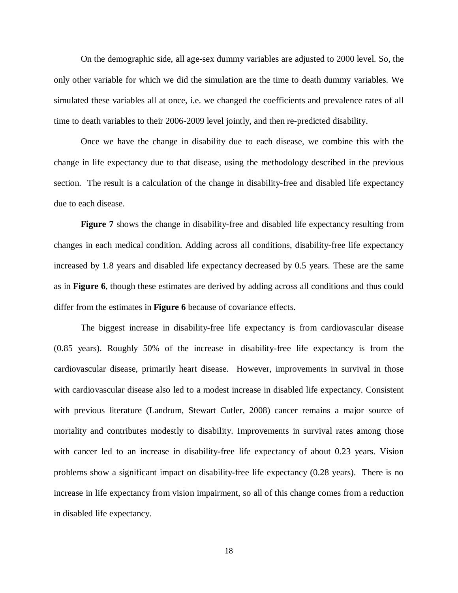On the demographic side, all age-sex dummy variables are adjusted to 2000 level. So, the only other variable for which we did the simulation are the time to death dummy variables. We simulated these variables all at once, i.e. we changed the coefficients and prevalence rates of all time to death variables to their 2006-2009 level jointly, and then re-predicted disability.

Once we have the change in disability due to each disease, we combine this with the change in life expectancy due to that disease, using the methodology described in the previous section. The result is a calculation of the change in disability-free and disabled life expectancy due to each disease.

**Figure 7** shows the change in disability-free and disabled life expectancy resulting from changes in each medical condition. Adding across all conditions, disability-free life expectancy increased by 1.8 years and disabled life expectancy decreased by 0.5 years. These are the same as in **Figure 6**, though these estimates are derived by adding across all conditions and thus could differ from the estimates in **Figure 6** because of covariance effects.

The biggest increase in disability-free life expectancy is from cardiovascular disease (0.85 years). Roughly 50% of the increase in disability-free life expectancy is from the cardiovascular disease, primarily heart disease. However, improvements in survival in those with cardiovascular disease also led to a modest increase in disabled life expectancy. Consistent with previous literature (Landrum, Stewart Cutler, 2008) cancer remains a major source of mortality and contributes modestly to disability. Improvements in survival rates among those with cancer led to an increase in disability-free life expectancy of about 0.23 years. Vision problems show a significant impact on disability-free life expectancy (0.28 years). There is no increase in life expectancy from vision impairment, so all of this change comes from a reduction in disabled life expectancy.

18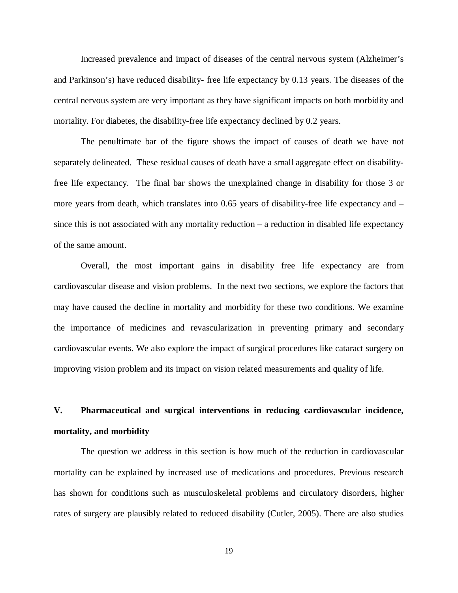Increased prevalence and impact of diseases of the central nervous system (Alzheimer's and Parkinson's) have reduced disability- free life expectancy by 0.13 years. The diseases of the central nervous system are very important as they have significant impacts on both morbidity and mortality. For diabetes, the disability-free life expectancy declined by 0.2 years.

The penultimate bar of the figure shows the impact of causes of death we have not separately delineated. These residual causes of death have a small aggregate effect on disabilityfree life expectancy. The final bar shows the unexplained change in disability for those 3 or more years from death, which translates into 0.65 years of disability-free life expectancy and – since this is not associated with any mortality reduction – a reduction in disabled life expectancy of the same amount.

Overall, the most important gains in disability free life expectancy are from cardiovascular disease and vision problems. In the next two sections, we explore the factors that may have caused the decline in mortality and morbidity for these two conditions. We examine the importance of medicines and revascularization in preventing primary and secondary cardiovascular events. We also explore the impact of surgical procedures like cataract surgery on improving vision problem and its impact on vision related measurements and quality of life.

# **V. Pharmaceutical and surgical interventions in reducing cardiovascular incidence, mortality, and morbidity**

The question we address in this section is how much of the reduction in cardiovascular mortality can be explained by increased use of medications and procedures. Previous research has shown for conditions such as musculoskeletal problems and circulatory disorders, higher rates of surgery are plausibly related to reduced disability (Cutler, 2005). There are also studies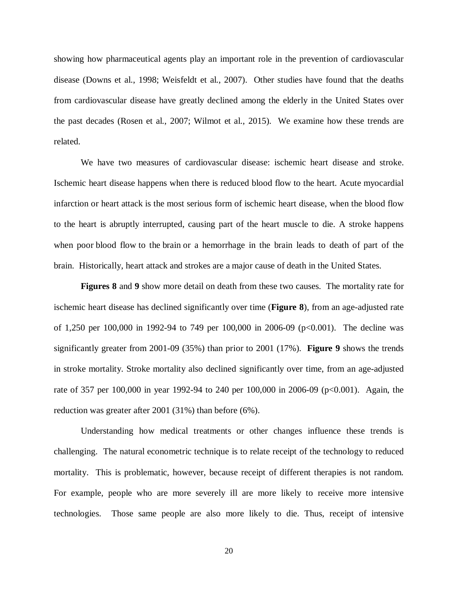showing how pharmaceutical agents play an important role in the prevention of cardiovascular disease (Downs et al., 1998; Weisfeldt et al., 2007). Other studies have found that the deaths from cardiovascular disease have greatly declined among the elderly in the United States over the past decades (Rosen et al., 2007; Wilmot et al., 2015). We examine how these trends are related.

We have two measures of cardiovascular disease: ischemic heart disease and stroke. Ischemic heart disease happens when there is reduced blood flow to the heart. Acute myocardial infarction or heart attack is the most serious form of ischemic heart disease, when the blood flow to the heart is abruptly interrupted, causing part of the heart muscle to die. A stroke happens when poor [blood flow](http://en.wikipedia.org/wiki/Circulatory_system) to the [brain](http://en.wikipedia.org/wiki/Brain) or a hemorrhage in the brain leads to death of part of the brain. Historically, heart attack and strokes are a major cause of death in the United States.

**Figures 8** and **9** show more detail on death from these two causes. The mortality rate for ischemic heart disease has declined significantly over time (**Figure 8**), from an age-adjusted rate of 1,250 per 100,000 in 1992-94 to 749 per 100,000 in 2006-09 (p<0.001). The decline was significantly greater from 2001-09 (35%) than prior to 2001 (17%). **Figure 9** shows the trends in stroke mortality. Stroke mortality also declined significantly over time, from an age-adjusted rate of 357 per 100,000 in year 1992-94 to 240 per 100,000 in 2006-09 (p<0.001). Again, the reduction was greater after 2001 (31%) than before (6%).

Understanding how medical treatments or other changes influence these trends is challenging. The natural econometric technique is to relate receipt of the technology to reduced mortality. This is problematic, however, because receipt of different therapies is not random. For example, people who are more severely ill are more likely to receive more intensive technologies. Those same people are also more likely to die. Thus, receipt of intensive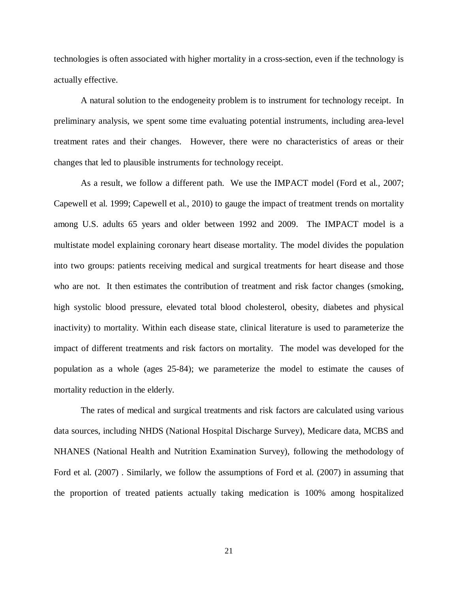technologies is often associated with higher mortality in a cross-section, even if the technology is actually effective.

A natural solution to the endogeneity problem is to instrument for technology receipt. In preliminary analysis, we spent some time evaluating potential instruments, including area-level treatment rates and their changes. However, there were no characteristics of areas or their changes that led to plausible instruments for technology receipt.

As a result, we follow a different path. We use the IMPACT model (Ford et al., 2007; Capewell et al. 1999; Capewell et al., 2010) to gauge the impact of treatment trends on mortality among U.S. adults 65 years and older between 1992 and 2009. The IMPACT model is a multistate model explaining coronary heart disease mortality. The model divides the population into two groups: patients receiving medical and surgical treatments for heart disease and those who are not. It then estimates the contribution of treatment and risk factor changes (smoking, high systolic blood pressure, elevated total blood cholesterol, obesity, diabetes and physical inactivity) to mortality. Within each disease state, clinical literature is used to parameterize the impact of different treatments and risk factors on mortality. The model was developed for the population as a whole (ages 25-84); we parameterize the model to estimate the causes of mortality reduction in the elderly.

The rates of medical and surgical treatments and risk factors are calculated using various data sources, including NHDS (National Hospital Discharge Survey), Medicare data, MCBS and NHANES (National Health and Nutrition Examination Survey), following the methodology of Ford et al. (2007) . Similarly, we follow the assumptions of Ford et al. (2007) in assuming that the proportion of treated patients actually taking medication is 100% among hospitalized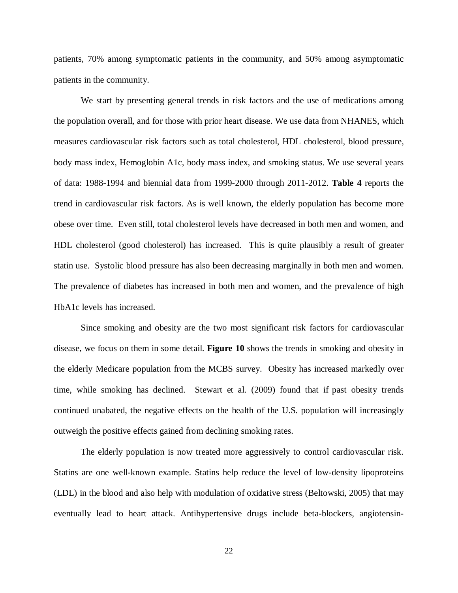patients, 70% among symptomatic patients in the community, and 50% among asymptomatic patients in the community.

We start by presenting general trends in risk factors and the use of medications among the population overall, and for those with prior heart disease. We use data from NHANES, which measures cardiovascular risk factors such as total cholesterol, HDL cholesterol, blood pressure, body mass index, Hemoglobin A1c, body mass index, and smoking status. We use several years of data: 1988-1994 and biennial data from 1999-2000 through 2011-2012. **Table 4** reports the trend in cardiovascular risk factors. As is well known, the elderly population has become more obese over time. Even still, total cholesterol levels have decreased in both men and women, and HDL cholesterol (good cholesterol) has increased. This is quite plausibly a result of greater statin use. Systolic blood pressure has also been decreasing marginally in both men and women. The prevalence of diabetes has increased in both men and women, and the prevalence of high HbA1c levels has increased.

Since smoking and obesity are the two most significant risk factors for cardiovascular disease, we focus on them in some detail. **Figure 10** shows the trends in smoking and obesity in the elderly Medicare population from the MCBS survey. Obesity has increased markedly over time, while smoking has declined. Stewart et al. (2009) found that if past obesity trends continued unabated, the negative effects on the health of the U.S. population will increasingly outweigh the positive effects gained from declining smoking rates.

The elderly population is now treated more aggressively to control cardiovascular risk. Statins are one well-known example. Statins help reduce the level of low-density lipoproteins (LDL) in the blood and also help with modulation of oxidative stress (Beltowski, 2005) that may eventually lead to heart attack. Antihypertensive drugs include beta-blockers, angiotensin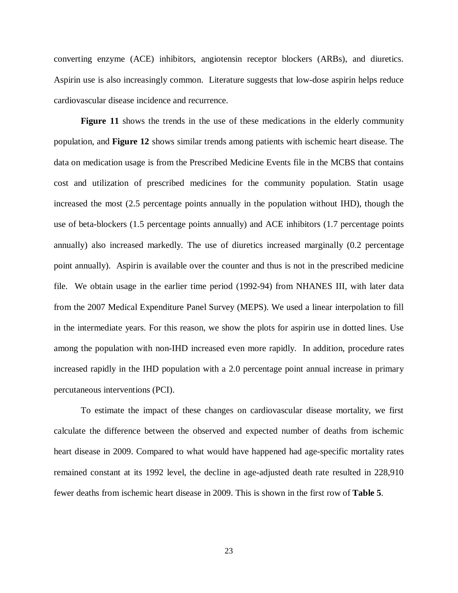converting enzyme (ACE) inhibitors, angiotensin receptor blockers (ARBs), and diuretics. Aspirin use is also increasingly common. Literature suggests that low-dose aspirin helps reduce cardiovascular disease incidence and recurrence.

**Figure 11** shows the trends in the use of these medications in the elderly community population, and **Figure 12** shows similar trends among patients with ischemic heart disease. The data on medication usage is from the Prescribed Medicine Events file in the MCBS that contains cost and utilization of prescribed medicines for the community population. Statin usage increased the most (2.5 percentage points annually in the population without IHD), though the use of beta-blockers (1.5 percentage points annually) and ACE inhibitors (1.7 percentage points annually) also increased markedly. The use of diuretics increased marginally (0.2 percentage point annually). Aspirin is available over the counter and thus is not in the prescribed medicine file. We obtain usage in the earlier time period (1992-94) from NHANES III, with later data from the 2007 Medical Expenditure Panel Survey (MEPS). We used a linear interpolation to fill in the intermediate years. For this reason, we show the plots for aspirin use in dotted lines. Use among the population with non-IHD increased even more rapidly. In addition, procedure rates increased rapidly in the IHD population with a 2.0 percentage point annual increase in primary percutaneous interventions (PCI).

To estimate the impact of these changes on cardiovascular disease mortality, we first calculate the difference between the observed and expected number of deaths from ischemic heart disease in 2009. Compared to what would have happened had age-specific mortality rates remained constant at its 1992 level, the decline in age-adjusted death rate resulted in 228,910 fewer deaths from ischemic heart disease in 2009. This is shown in the first row of **Table 5**.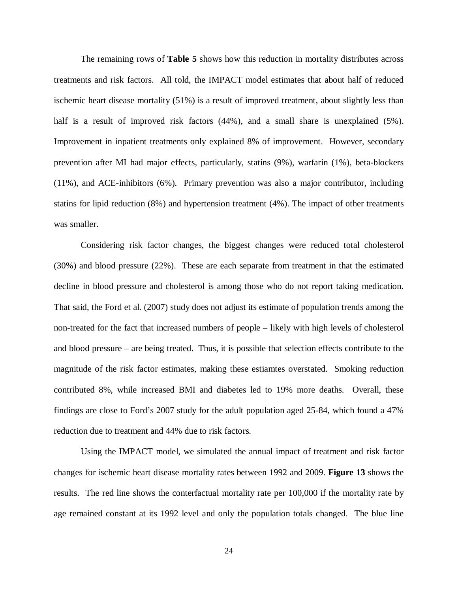The remaining rows of **Table 5** shows how this reduction in mortality distributes across treatments and risk factors. All told, the IMPACT model estimates that about half of reduced ischemic heart disease mortality (51%) is a result of improved treatment, about slightly less than half is a result of improved risk factors (44%), and a small share is unexplained (5%). Improvement in inpatient treatments only explained 8% of improvement. However, secondary prevention after MI had major effects, particularly, statins (9%), warfarin (1%), beta-blockers (11%), and ACE-inhibitors (6%). Primary prevention was also a major contributor, including statins for lipid reduction (8%) and hypertension treatment (4%). The impact of other treatments was smaller.

Considering risk factor changes, the biggest changes were reduced total cholesterol (30%) and blood pressure (22%). These are each separate from treatment in that the estimated decline in blood pressure and cholesterol is among those who do not report taking medication. That said, the Ford et al. (2007) study does not adjust its estimate of population trends among the non-treated for the fact that increased numbers of people – likely with high levels of cholesterol and blood pressure – are being treated. Thus, it is possible that selection effects contribute to the magnitude of the risk factor estimates, making these estiamtes overstated. Smoking reduction contributed 8%, while increased BMI and diabetes led to 19% more deaths. Overall, these findings are close to Ford's 2007 study for the adult population aged 25-84, which found a 47% reduction due to treatment and 44% due to risk factors.

Using the IMPACT model, we simulated the annual impact of treatment and risk factor changes for ischemic heart disease mortality rates between 1992 and 2009. **Figure 13** shows the results. The red line shows the conterfactual mortality rate per 100,000 if the mortality rate by age remained constant at its 1992 level and only the population totals changed. The blue line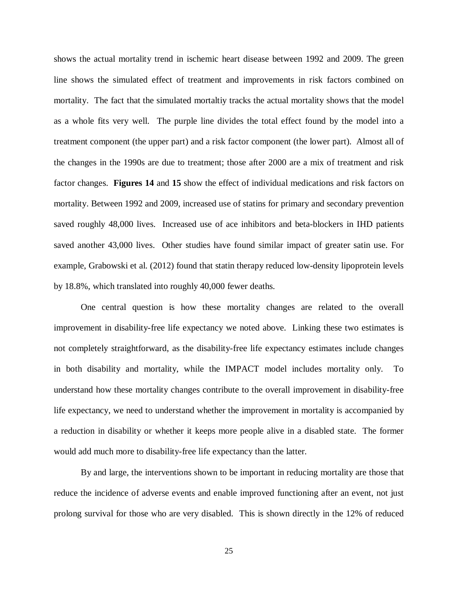shows the actual mortality trend in ischemic heart disease between 1992 and 2009. The green line shows the simulated effect of treatment and improvements in risk factors combined on mortality. The fact that the simulated mortaltiy tracks the actual mortality shows that the model as a whole fits very well. The purple line divides the total effect found by the model into a treatment component (the upper part) and a risk factor component (the lower part). Almost all of the changes in the 1990s are due to treatment; those after 2000 are a mix of treatment and risk factor changes. **Figures 14** and **15** show the effect of individual medications and risk factors on mortality. Between 1992 and 2009, increased use of statins for primary and secondary prevention saved roughly 48,000 lives. Increased use of ace inhibitors and beta-blockers in IHD patients saved another 43,000 lives. Other studies have found similar impact of greater satin use. For example, Grabowski et al. (2012) found that statin therapy reduced low-density lipoprotein levels by 18.8%, which translated into roughly 40,000 fewer deaths.

One central question is how these mortality changes are related to the overall improvement in disability-free life expectancy we noted above. Linking these two estimates is not completely straightforward, as the disability-free life expectancy estimates include changes in both disability and mortality, while the IMPACT model includes mortality only. To understand how these mortality changes contribute to the overall improvement in disability-free life expectancy, we need to understand whether the improvement in mortality is accompanied by a reduction in disability or whether it keeps more people alive in a disabled state. The former would add much more to disability-free life expectancy than the latter.

By and large, the interventions shown to be important in reducing mortality are those that reduce the incidence of adverse events and enable improved functioning after an event, not just prolong survival for those who are very disabled. This is shown directly in the 12% of reduced

25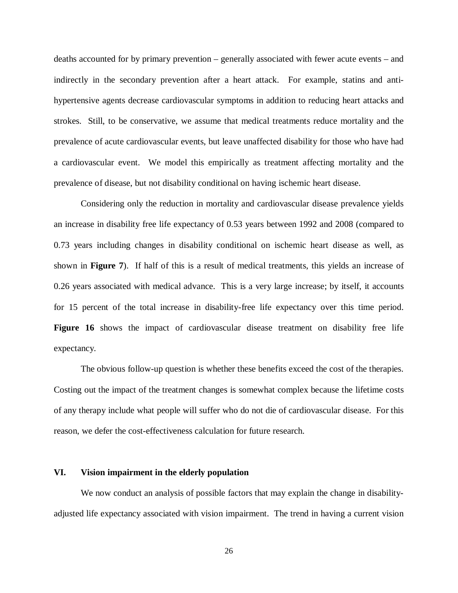deaths accounted for by primary prevention – generally associated with fewer acute events – and indirectly in the secondary prevention after a heart attack. For example, statins and antihypertensive agents decrease cardiovascular symptoms in addition to reducing heart attacks and strokes. Still, to be conservative, we assume that medical treatments reduce mortality and the prevalence of acute cardiovascular events, but leave unaffected disability for those who have had a cardiovascular event. We model this empirically as treatment affecting mortality and the prevalence of disease, but not disability conditional on having ischemic heart disease.

Considering only the reduction in mortality and cardiovascular disease prevalence yields an increase in disability free life expectancy of 0.53 years between 1992 and 2008 (compared to 0.73 years including changes in disability conditional on ischemic heart disease as well, as shown in **Figure 7**). If half of this is a result of medical treatments, this yields an increase of 0.26 years associated with medical advance. This is a very large increase; by itself, it accounts for 15 percent of the total increase in disability-free life expectancy over this time period. Figure 16 shows the impact of cardiovascular disease treatment on disability free life expectancy.

The obvious follow-up question is whether these benefits exceed the cost of the therapies. Costing out the impact of the treatment changes is somewhat complex because the lifetime costs of any therapy include what people will suffer who do not die of cardiovascular disease. For this reason, we defer the cost-effectiveness calculation for future research.

## **VI. Vision impairment in the elderly population**

We now conduct an analysis of possible factors that may explain the change in disabilityadjusted life expectancy associated with vision impairment. The trend in having a current vision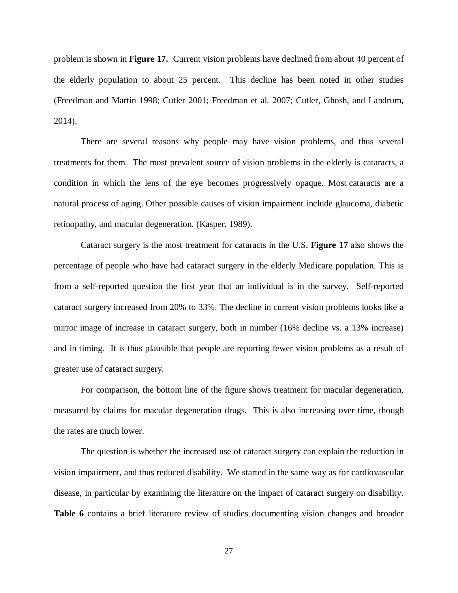problem is shown in **Figure 17.** Current vision problems have declined from about 40 percent of the elderly population to about 25 percent. This decline has been noted in other studies (Freedman and Martin 1998; Cutler 2001; Freedman et al. 2007; Cutler, Ghosh, and Landrum, 2014).

There are several reasons why people may have vision problems, and thus several treatments for them. The most prevalent source of vision problems in the elderly is cataracts, a condition in which the lens of the eye becomes progressively opaque. Most cataracts are a natural process of aging. Other possible causes of vision impairment include glaucoma, diabetic retinopathy, and macular degeneration. (Kasper, 1989).

Cataract surgery is the most treatment for cataracts in the U.S. **Figure 17** also shows the percentage of people who have had cataract surgery in the elderly Medicare population. This is from a self-reported question the first year that an individual is in the survey. Self-reported cataract surgery increased from 20% to 33%. The decline in current vision problems looks like a mirror image of increase in cataract surgery, both in number (16% decline vs. a 13% increase) and in timing. It is thus plausible that people are reporting fewer vision problems as a result of greater use of cataract surgery.

For comparison, the bottom line of the figure shows treatment for macular degeneration, measured by claims for macular degeneration drugs. This is also increasing over time, though the rates are much lower.

The question is whether the increased use of cataract surgery can explain the reduction in vision impairment, and thus reduced disability. We started in the same way as for cardiovascular disease, in particular by examining the literature on the impact of cataract surgery on disability. **Table 6** contains a brief literature review of studies documenting vision changes and broader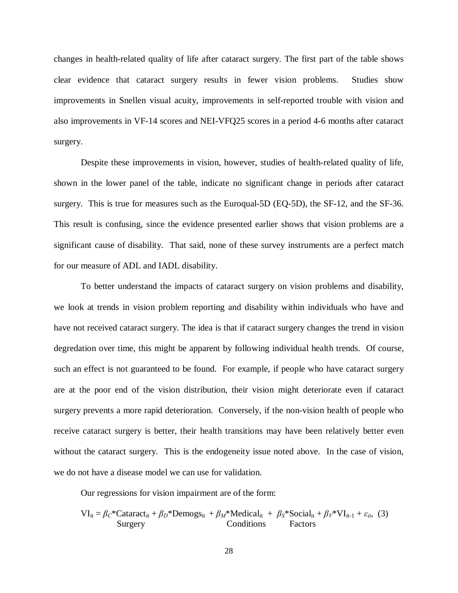changes in health-related quality of life after cataract surgery. The first part of the table shows clear evidence that cataract surgery results in fewer vision problems. Studies show improvements in Snellen visual acuity, improvements in self-reported trouble with vision and also improvements in VF-14 scores and NEI-VFQ25 scores in a period 4-6 months after cataract surgery.

Despite these improvements in vision, however, studies of health-related quality of life, shown in the lower panel of the table, indicate no significant change in periods after cataract surgery. This is true for measures such as the Euroqual-5D (EQ-5D), the SF-12, and the SF-36. This result is confusing, since the evidence presented earlier shows that vision problems are a significant cause of disability. That said, none of these survey instruments are a perfect match for our measure of ADL and IADL disability.

To better understand the impacts of cataract surgery on vision problems and disability, we look at trends in vision problem reporting and disability within individuals who have and have not received cataract surgery. The idea is that if cataract surgery changes the trend in vision degredation over time, this might be apparent by following individual health trends. Of course, such an effect is not guaranteed to be found. For example, if people who have cataract surgery are at the poor end of the vision distribution, their vision might deteriorate even if cataract surgery prevents a more rapid deterioration. Conversely, if the non-vision health of people who receive cataract surgery is better, their health transitions may have been relatively better even without the cataract surgery. This is the endogeneity issue noted above. In the case of vision, we do not have a disease model we can use for validation.

Our regressions for vision impairment are of the form:

$$
VI_{it} = \beta_C * \text{Cataract}_{it} + \beta_D * \text{Demogs}_{it} + \beta_M * \text{Media}_{it} + \beta_S * \text{Social}_{it} + \beta_V * VI_{it-1} + \varepsilon_{it}, \quad (3)
$$
  
Surgery  
Conditions  
Factors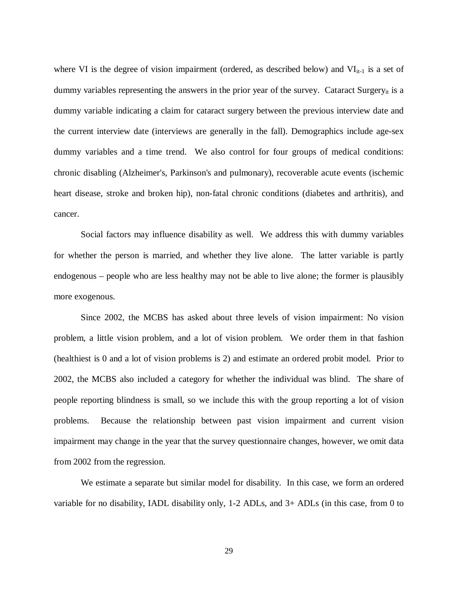where VI is the degree of vision impairment (ordered, as described below) and  $VI_{it-1}$  is a set of dummy variables representing the answers in the prior year of the survey. Cataract Surgeryit is a dummy variable indicating a claim for cataract surgery between the previous interview date and the current interview date (interviews are generally in the fall). Demographics include age-sex dummy variables and a time trend. We also control for four groups of medical conditions: chronic disabling (Alzheimer's, Parkinson's and pulmonary), recoverable acute events (ischemic heart disease, stroke and broken hip), non-fatal chronic conditions (diabetes and arthritis), and cancer.

Social factors may influence disability as well. We address this with dummy variables for whether the person is married, and whether they live alone. The latter variable is partly endogenous – people who are less healthy may not be able to live alone; the former is plausibly more exogenous.

Since 2002, the MCBS has asked about three levels of vision impairment: No vision problem, a little vision problem, and a lot of vision problem. We order them in that fashion (healthiest is 0 and a lot of vision problems is 2) and estimate an ordered probit model. Prior to 2002, the MCBS also included a category for whether the individual was blind. The share of people reporting blindness is small, so we include this with the group reporting a lot of vision problems. Because the relationship between past vision impairment and current vision impairment may change in the year that the survey questionnaire changes, however, we omit data from 2002 from the regression.

We estimate a separate but similar model for disability. In this case, we form an ordered variable for no disability, IADL disability only, 1-2 ADLs, and 3+ ADLs (in this case, from 0 to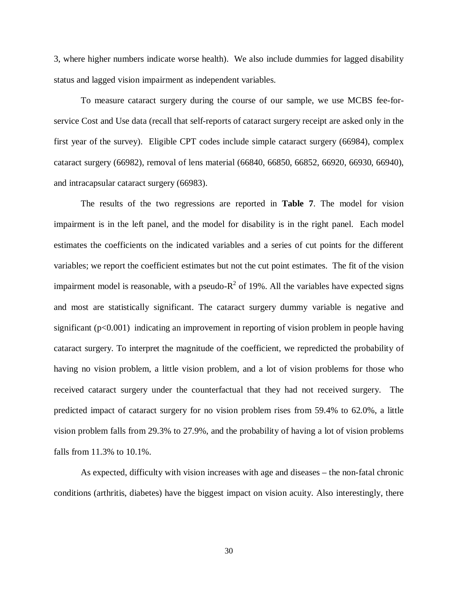3, where higher numbers indicate worse health). We also include dummies for lagged disability status and lagged vision impairment as independent variables.

To measure cataract surgery during the course of our sample, we use MCBS fee-forservice Cost and Use data (recall that self-reports of cataract surgery receipt are asked only in the first year of the survey). Eligible CPT codes include simple cataract surgery (66984), complex cataract surgery (66982), removal of lens material (66840, 66850, 66852, 66920, 66930, 66940), and intracapsular cataract surgery (66983).

The results of the two regressions are reported in **Table 7**. The model for vision impairment is in the left panel, and the model for disability is in the right panel. Each model estimates the coefficients on the indicated variables and a series of cut points for the different variables; we report the coefficient estimates but not the cut point estimates. The fit of the vision impairment model is reasonable, with a pseudo- $R^2$  of 19%. All the variables have expected signs and most are statistically significant. The cataract surgery dummy variable is negative and significant  $(p<0.001)$  indicating an improvement in reporting of vision problem in people having cataract surgery. To interpret the magnitude of the coefficient, we repredicted the probability of having no vision problem, a little vision problem, and a lot of vision problems for those who received cataract surgery under the counterfactual that they had not received surgery. The predicted impact of cataract surgery for no vision problem rises from 59.4% to 62.0%, a little vision problem falls from 29.3% to 27.9%, and the probability of having a lot of vision problems falls from 11.3% to 10.1%.

As expected, difficulty with vision increases with age and diseases – the non-fatal chronic conditions (arthritis, diabetes) have the biggest impact on vision acuity. Also interestingly, there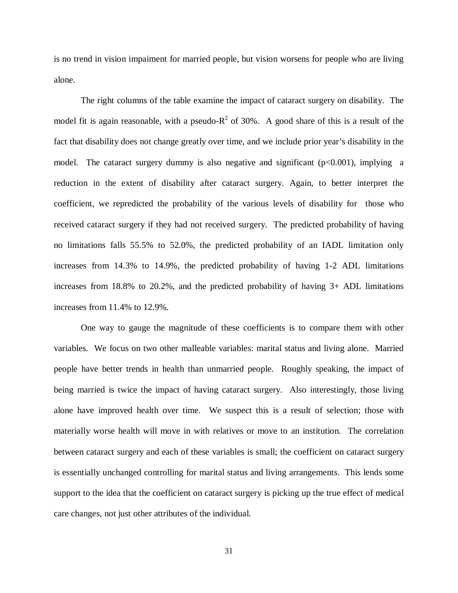is no trend in vision impaiment for married people, but vision worsens for people who are living alone.

The right columns of the table examine the impact of cataract surgery on disability. The model fit is again reasonable, with a pseudo- $R^2$  of 30%. A good share of this is a result of the fact that disability does not change greatly over time, and we include prior year's disability in the model. The cataract surgery dummy is also negative and significant  $(p<0.001)$ , implying a reduction in the extent of disability after cataract surgery. Again, to better interpret the coefficient, we repredicted the probability of the various levels of disability for those who received cataract surgery if they had not received surgery. The predicted probability of having no limitations falls 55.5% to 52.0%, the predicted probability of an IADL limitation only increases from 14.3% to 14.9%, the predicted probability of having 1-2 ADL limitations increases from 18.8% to 20.2%, and the predicted probability of having 3+ ADL limitations increases from 11.4% to 12.9%.

One way to gauge the magnitude of these coefficients is to compare them with other variables. We focus on two other malleable variables: marital status and living alone. Married people have better trends in health than unmarried people. Roughly speaking, the impact of being married is twice the impact of having cataract surgery. Also interestingly, those living alone have improved health over time. We suspect this is a result of selection; those with materially worse health will move in with relatives or move to an institution. The correlation between cataract surgery and each of these variables is small; the coefficient on cataract surgery is essentially unchanged controlling for marital status and living arrangements. This lends some support to the idea that the coefficient on cataract surgery is picking up the true effect of medical care changes, not just other attributes of the individual.

31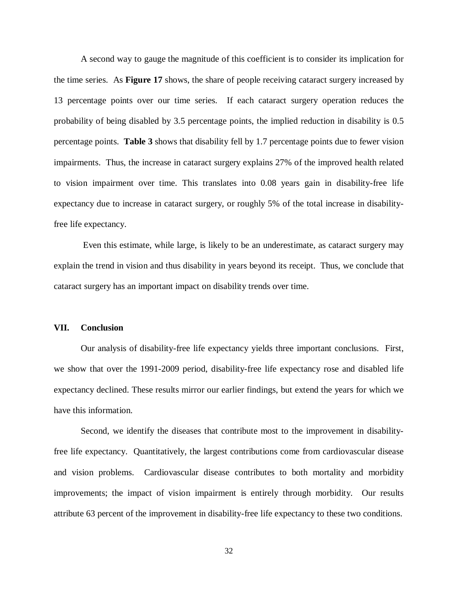A second way to gauge the magnitude of this coefficient is to consider its implication for the time series. As **Figure 17** shows, the share of people receiving cataract surgery increased by 13 percentage points over our time series. If each cataract surgery operation reduces the probability of being disabled by 3.5 percentage points, the implied reduction in disability is 0.5 percentage points. **Table 3** shows that disability fell by 1.7 percentage points due to fewer vision impairments. Thus, the increase in cataract surgery explains 27% of the improved health related to vision impairment over time. This translates into 0.08 years gain in disability-free life expectancy due to increase in cataract surgery, or roughly 5% of the total increase in disabilityfree life expectancy.

Even this estimate, while large, is likely to be an underestimate, as cataract surgery may explain the trend in vision and thus disability in years beyond its receipt. Thus, we conclude that cataract surgery has an important impact on disability trends over time.

### **VII. Conclusion**

Our analysis of disability-free life expectancy yields three important conclusions. First, we show that over the 1991-2009 period, disability-free life expectancy rose and disabled life expectancy declined. These results mirror our earlier findings, but extend the years for which we have this information.

Second, we identify the diseases that contribute most to the improvement in disabilityfree life expectancy. Quantitatively, the largest contributions come from cardiovascular disease and vision problems. Cardiovascular disease contributes to both mortality and morbidity improvements; the impact of vision impairment is entirely through morbidity. Our results attribute 63 percent of the improvement in disability-free life expectancy to these two conditions.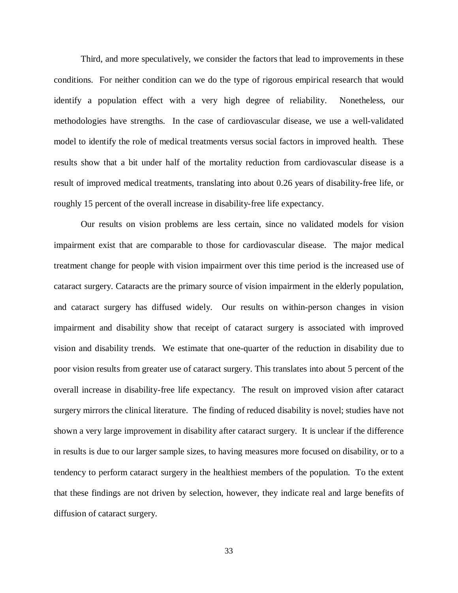Third, and more speculatively, we consider the factors that lead to improvements in these conditions. For neither condition can we do the type of rigorous empirical research that would identify a population effect with a very high degree of reliability. Nonetheless, our methodologies have strengths. In the case of cardiovascular disease, we use a well-validated model to identify the role of medical treatments versus social factors in improved health. These results show that a bit under half of the mortality reduction from cardiovascular disease is a result of improved medical treatments, translating into about 0.26 years of disability-free life, or roughly 15 percent of the overall increase in disability-free life expectancy.

Our results on vision problems are less certain, since no validated models for vision impairment exist that are comparable to those for cardiovascular disease. The major medical treatment change for people with vision impairment over this time period is the increased use of cataract surgery. Cataracts are the primary source of vision impairment in the elderly population, and cataract surgery has diffused widely. Our results on within-person changes in vision impairment and disability show that receipt of cataract surgery is associated with improved vision and disability trends. We estimate that one-quarter of the reduction in disability due to poor vision results from greater use of cataract surgery. This translates into about 5 percent of the overall increase in disability-free life expectancy. The result on improved vision after cataract surgery mirrors the clinical literature. The finding of reduced disability is novel; studies have not shown a very large improvement in disability after cataract surgery. It is unclear if the difference in results is due to our larger sample sizes, to having measures more focused on disability, or to a tendency to perform cataract surgery in the healthiest members of the population. To the extent that these findings are not driven by selection, however, they indicate real and large benefits of diffusion of cataract surgery.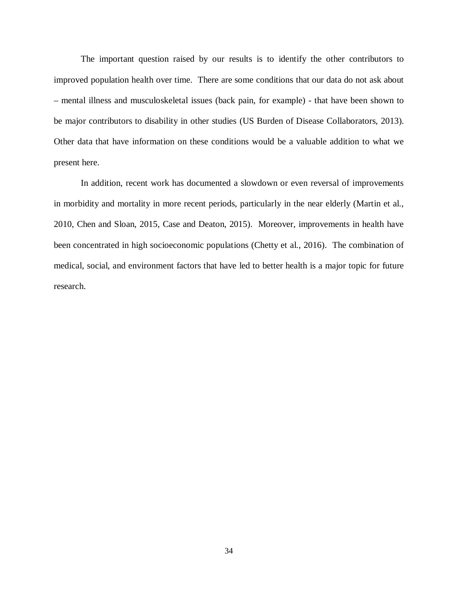The important question raised by our results is to identify the other contributors to improved population health over time. There are some conditions that our data do not ask about – mental illness and musculoskeletal issues (back pain, for example) - that have been shown to be major contributors to disability in other studies (US Burden of Disease Collaborators, 2013). Other data that have information on these conditions would be a valuable addition to what we present here.

In addition, recent work has documented a slowdown or even reversal of improvements in morbidity and mortality in more recent periods, particularly in the near elderly (Martin et al., 2010, Chen and Sloan, 2015, Case and Deaton, 2015). Moreover, improvements in health have been concentrated in high socioeconomic populations (Chetty et al., 2016). The combination of medical, social, and environment factors that have led to better health is a major topic for future research.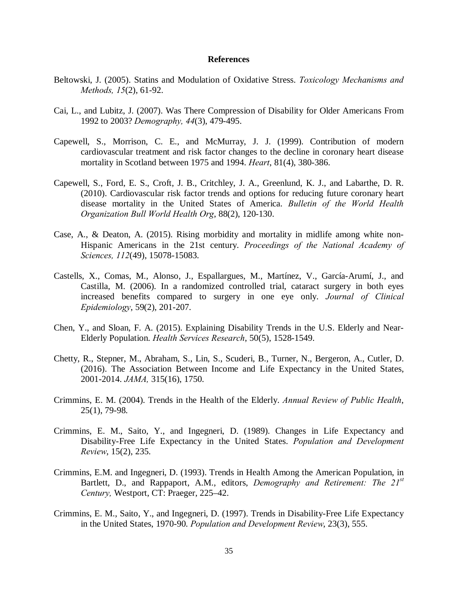### **References**

- Beltowski, J. (2005). Statins and Modulation of Oxidative Stress. *Toxicology Mechanisms and Methods, 15*(2), 61-92.
- Cai, L., and Lubitz, J. (2007). Was There Compression of Disability for Older Americans From 1992 to 2003? *Demography, 44*(3), 479-495.
- Capewell, S., Morrison, C. E., and McMurray, J. J. (1999). Contribution of modern cardiovascular treatment and risk factor changes to the decline in coronary heart disease mortality in Scotland between 1975 and 1994. *Heart*, 81(4), 380-386.
- Capewell, S., Ford, E. S., Croft, J. B., Critchley, J. A., Greenlund, K. J., and Labarthe, D. R. (2010). Cardiovascular risk factor trends and options for reducing future coronary heart disease mortality in the United States of America. *Bulletin of the World Health Organization Bull World Health Org*, 88(2), 120-130.
- Case, A., & Deaton, A. (2015). Rising morbidity and mortality in midlife among white non-Hispanic Americans in the 21st century. *Proceedings of the National Academy of Sciences, 112*(49), 15078-15083.
- Castells, X., Comas, M., Alonso, J., Espallargues, M., Martínez, V., García-Arumí, J., and Castilla, M. (2006). In a randomized controlled trial, cataract surgery in both eyes increased benefits compared to surgery in one eye only. *Journal of Clinical Epidemiology*, 59(2), 201-207.
- Chen, Y., and Sloan, F. A. (2015). Explaining Disability Trends in the U.S. Elderly and Near-Elderly Population. *Health Services Research*, 50(5), 1528-1549.
- Chetty, R., Stepner, M., Abraham, S., Lin, S., Scuderi, B., Turner, N., Bergeron, A., Cutler, D. (2016). The Association Between Income and Life Expectancy in the United States, 2001-2014. *JAMA,* 315(16), 1750.
- Crimmins, E. M. (2004). Trends in the Health of the Elderly. *Annual Review of Public Health*, 25(1), 79-98.
- Crimmins, E. M., Saito, Y., and Ingegneri, D. (1989). Changes in Life Expectancy and Disability-Free Life Expectancy in the United States. *Population and Development Review*, 15(2), 235.
- Crimmins, E.M. and Ingegneri, D. (1993). Trends in Health Among the American Population, in Bartlett, D., and Rappaport, A.M., editors, *Demography and Retirement: The 21st Century,* Westport, CT: Praeger, 225–42.
- Crimmins, E. M., Saito, Y., and Ingegneri, D. (1997). Trends in Disability-Free Life Expectancy in the United States, 1970-90. *Population and Development Review*, 23(3), 555.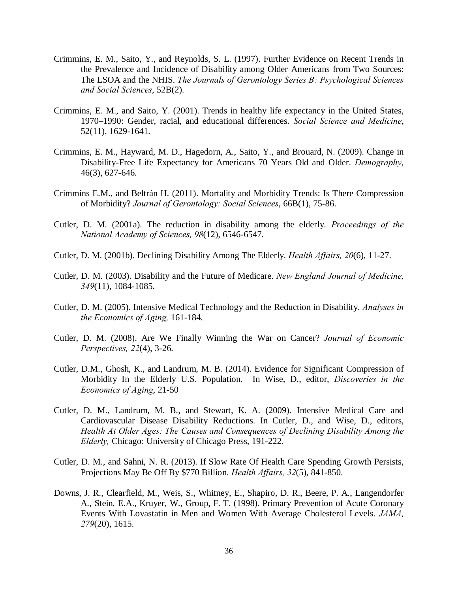- Crimmins, E. M., Saito, Y., and Reynolds, S. L. (1997). Further Evidence on Recent Trends in the Prevalence and Incidence of Disability among Older Americans from Two Sources: The LSOA and the NHIS. *The Journals of Gerontology Series B: Psychological Sciences and Social Sciences*, 52B(2).
- Crimmins, E. M., and Saito, Y. (2001). Trends in healthy life expectancy in the United States, 1970–1990: Gender, racial, and educational differences. *Social Science and Medicine*, 52(11), 1629-1641.
- Crimmins, E. M., Hayward, M. D., Hagedorn, A., Saito, Y., and Brouard, N. (2009). Change in Disability-Free Life Expectancy for Americans 70 Years Old and Older. *Demography*, 46(3), 627-646.
- Crimmins E.M., and Beltrán H. (2011). Mortality and Morbidity Trends: Is There Compression of Morbidity? *Journal of Gerontology: Social Sciences*, 66B(1), 75-86.
- Cutler, D. M. (2001a). The reduction in disability among the elderly. *Proceedings of the National Academy of Sciences, 98*(12), 6546-6547.
- Cutler, D. M. (2001b). Declining Disability Among The Elderly. *Health Affairs, 20*(6), 11-27.
- Cutler, D. M. (2003). Disability and the Future of Medicare. *New England Journal of Medicine, 349*(11), 1084-1085.
- Cutler, D. M. (2005). Intensive Medical Technology and the Reduction in Disability. *Analyses in the Economics of Aging,* 161-184.
- Cutler, D. M. (2008). Are We Finally Winning the War on Cancer? *Journal of Economic Perspectives, 22*(4), 3-26.
- Cutler, D.M., Ghosh, K., and Landrum, M. B. (2014). Evidence for Significant Compression of Morbidity In the Elderly U.S. Population. In Wise, D., editor, *Discoveries in the Economics of Aging*, 21-50
- Cutler, D. M., Landrum, M. B., and Stewart, K. A. (2009). Intensive Medical Care and Cardiovascular Disease Disability Reductions. In Cutler, D., and Wise, D., editors, *Health At Older Ages: The Causes and Consequences of Declining Disability Among the Elderly,* Chicago: University of Chicago Press, 191-222.
- Cutler, D. M., and Sahni, N. R. (2013). If Slow Rate Of Health Care Spending Growth Persists, Projections May Be Off By \$770 Billion. *Health Affairs, 32*(5), 841-850.
- Downs, J. R., Clearfield, M., Weis, S., Whitney, E., Shapiro, D. R., Beere, P. A., Langendorfer A., Stein, E.A., Kruyer, W., Group, F. T. (1998). Primary Prevention of Acute Coronary Events With Lovastatin in Men and Women With Average Cholesterol Levels. *JAMA, 279*(20), 1615.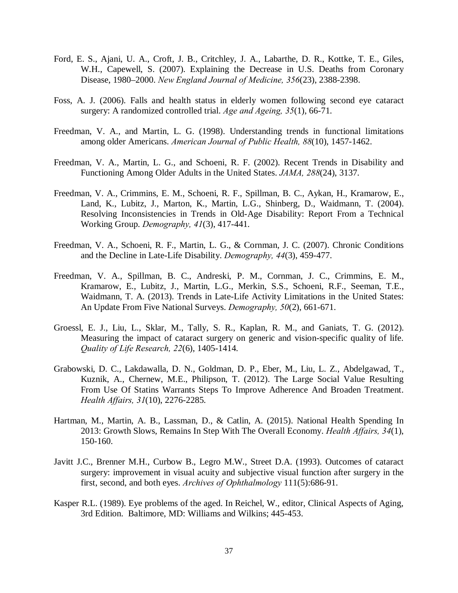- Ford, E. S., Ajani, U. A., Croft, J. B., Critchley, J. A., Labarthe, D. R., Kottke, T. E., Giles, W.H., Capewell, S. (2007). Explaining the Decrease in U.S. Deaths from Coronary Disease, 1980–2000. *New England Journal of Medicine, 356*(23), 2388-2398.
- Foss, A. J. (2006). Falls and health status in elderly women following second eye cataract surgery: A randomized controlled trial. *Age and Ageing, 35*(1), 66-71.
- Freedman, V. A., and Martin, L. G. (1998). Understanding trends in functional limitations among older Americans. *American Journal of Public Health, 88*(10), 1457-1462.
- Freedman, V. A., Martin, L. G., and Schoeni, R. F. (2002). Recent Trends in Disability and Functioning Among Older Adults in the United States. *JAMA, 288*(24), 3137.
- Freedman, V. A., Crimmins, E. M., Schoeni, R. F., Spillman, B. C., Aykan, H., Kramarow, E., Land, K., Lubitz, J., Marton, K., Martin, L.G., Shinberg, D., Waidmann, T. (2004). Resolving Inconsistencies in Trends in Old-Age Disability: Report From a Technical Working Group. *Demography, 41*(3), 417-441.
- Freedman, V. A., Schoeni, R. F., Martin, L. G., & Cornman, J. C. (2007). Chronic Conditions and the Decline in Late-Life Disability. *Demography, 44*(3), 459-477.
- Freedman, V. A., Spillman, B. C., Andreski, P. M., Cornman, J. C., Crimmins, E. M., Kramarow, E., Lubitz, J., Martin, L.G., Merkin, S.S., Schoeni, R.F., Seeman, T.E., Waidmann, T. A. (2013). Trends in Late-Life Activity Limitations in the United States: An Update From Five National Surveys. *Demography, 50*(2), 661-671.
- Groessl, E. J., Liu, L., Sklar, M., Tally, S. R., Kaplan, R. M., and Ganiats, T. G. (2012). Measuring the impact of cataract surgery on generic and vision-specific quality of life. *Quality of Life Research, 22*(6), 1405-1414.
- Grabowski, D. C., Lakdawalla, D. N., Goldman, D. P., Eber, M., Liu, L. Z., Abdelgawad, T., Kuznik, A., Chernew, M.E., Philipson, T. (2012). The Large Social Value Resulting From Use Of Statins Warrants Steps To Improve Adherence And Broaden Treatment. *Health Affairs, 31*(10), 2276-2285.
- Hartman, M., Martin, A. B., Lassman, D., & Catlin, A. (2015). National Health Spending In 2013: Growth Slows, Remains In Step With The Overall Economy. *Health Affairs, 34*(1), 150-160.
- Javitt J.C., Brenner M.H., Curbow B., Legro M.W., Street D.A. (1993). Outcomes of cataract surgery: improvement in visual acuity and subjective visual function after surgery in the first, second, and both eyes. *Archives of Ophthalmology* 111(5):686-91.
- Kasper R.L. (1989). Eye problems of the aged. In Reichel, W., editor, Clinical Aspects of Aging, 3rd Edition. Baltimore, MD: Williams and Wilkins; 445-453.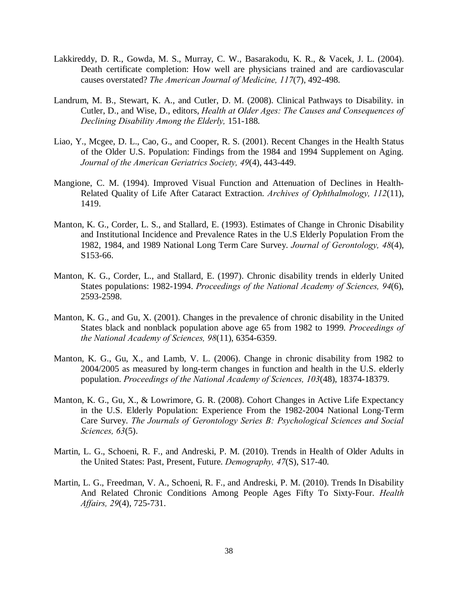- Lakkireddy, D. R., Gowda, M. S., Murray, C. W., Basarakodu, K. R., & Vacek, J. L. (2004). Death certificate completion: How well are physicians trained and are cardiovascular causes overstated? *The American Journal of Medicine, 117*(7), 492-498.
- Landrum, M. B., Stewart, K. A., and Cutler, D. M. (2008). Clinical Pathways to Disability. in Cutler, D., and Wise, D., editors, *Health at Older Ages: The Causes and Consequences of Declining Disability Among the Elderly,* 151-188.
- Liao, Y., Mcgee, D. L., Cao, G., and Cooper, R. S. (2001). Recent Changes in the Health Status of the Older U.S. Population: Findings from the 1984 and 1994 Supplement on Aging. *Journal of the American Geriatrics Society, 49*(4), 443-449.
- Mangione, C. M. (1994). Improved Visual Function and Attenuation of Declines in Health-Related Quality of Life After Cataract Extraction. *Archives of Ophthalmology, 112*(11), 1419.
- Manton, K. G., Corder, L. S., and Stallard, E. (1993). Estimates of Change in Chronic Disability and Institutional Incidence and Prevalence Rates in the U.S Elderly Population From the 1982, 1984, and 1989 National Long Term Care Survey. *Journal of Gerontology, 48*(4), S153-66.
- Manton, K. G., Corder, L., and Stallard, E. (1997). Chronic disability trends in elderly United States populations: 1982-1994. *Proceedings of the National Academy of Sciences, 94*(6), 2593-2598.
- Manton, K. G., and Gu, X. (2001). Changes in the prevalence of chronic disability in the United States black and nonblack population above age 65 from 1982 to 1999. *Proceedings of the National Academy of Sciences, 98*(11), 6354-6359.
- Manton, K. G., Gu, X., and Lamb, V. L. (2006). Change in chronic disability from 1982 to 2004/2005 as measured by long-term changes in function and health in the U.S. elderly population. *Proceedings of the National Academy of Sciences, 103*(48), 18374-18379.
- Manton, K. G., Gu, X., & Lowrimore, G. R. (2008). Cohort Changes in Active Life Expectancy in the U.S. Elderly Population: Experience From the 1982-2004 National Long-Term Care Survey. *The Journals of Gerontology Series B: Psychological Sciences and Social Sciences, 63*(5).
- Martin, L. G., Schoeni, R. F., and Andreski, P. M. (2010). Trends in Health of Older Adults in the United States: Past, Present, Future. *Demography, 47*(S), S17-40.
- Martin, L. G., Freedman, V. A., Schoeni, R. F., and Andreski, P. M. (2010). Trends In Disability And Related Chronic Conditions Among People Ages Fifty To Sixty-Four. *Health Affairs, 29*(4), 725-731.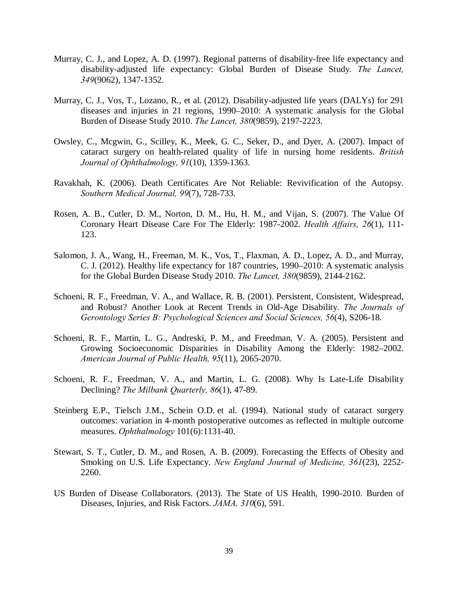- Murray, C. J., and Lopez, A. D. (1997). Regional patterns of disability-free life expectancy and disability-adjusted life expectancy: Global Burden of Disease Study. *The Lancet, 349*(9062), 1347-1352.
- Murray, C. J., Vos, T., Lozano, R., et al. (2012). Disability-adjusted life years (DALYs) for 291 diseases and injuries in 21 regions, 1990–2010: A systematic analysis for the Global Burden of Disease Study 2010. *The Lancet, 380*(9859), 2197-2223.
- Owsley, C., Mcgwin, G., Scilley, K., Meek, G. C., Seker, D., and Dyer, A. (2007). Impact of cataract surgery on health-related quality of life in nursing home residents. *British Journal of Ophthalmology, 91*(10), 1359-1363.
- Ravakhah, K. (2006). Death Certificates Are Not Reliable: Revivification of the Autopsy. *Southern Medical Journal, 99*(7), 728-733.
- Rosen, A. B., Cutler, D. M., Norton, D. M., Hu, H. M., and Vijan, S. (2007). The Value Of Coronary Heart Disease Care For The Elderly: 1987-2002. *Health Affairs, 26*(1), 111- 123.
- Salomon, J. A., Wang, H., Freeman, M. K., Vos, T., Flaxman, A. D., Lopez, A. D., and Murray, C. J. (2012). Healthy life expectancy for 187 countries, 1990–2010: A systematic analysis for the Global Burden Disease Study 2010. *The Lancet, 380*(9859), 2144-2162.
- Schoeni, R. F., Freedman, V. A., and Wallace, R. B. (2001). Persistent, Consistent, Widespread, and Robust? Another Look at Recent Trends in Old-Age Disability. *The Journals of Gerontology Series B: Psychological Sciences and Social Sciences, 56*(4), S206-18.
- Schoeni, R. F., Martin, L. G., Andreski, P. M., and Freedman, V. A. (2005). Persistent and Growing Socioeconomic Disparities in Disability Among the Elderly: 1982–2002. *American Journal of Public Health, 95*(11), 2065-2070.
- Schoeni, R. F., Freedman, V. A., and Martin, L. G. (2008). Why Is Late-Life Disability Declining? *The Milbank Quarterly, 86*(1), 47-89.
- Steinberg E.P., Tielsch J.M., Schein O.D. et al. (1994). National study of cataract surgery outcomes: variation in 4‐month postoperative outcomes as reflected in multiple outcome measures. *Ophthalmology* 101(6):1131-40.
- Stewart, S. T., Cutler, D. M., and Rosen, A. B. (2009). Forecasting the Effects of Obesity and Smoking on U.S. Life Expectancy. *New England Journal of Medicine, 361*(23), 2252- 2260.
- US Burden of Disease Collaborators. (2013). The State of US Health, 1990-2010. Burden of Diseases, Injuries, and Risk Factors. *JAMA, 310*(6), 591.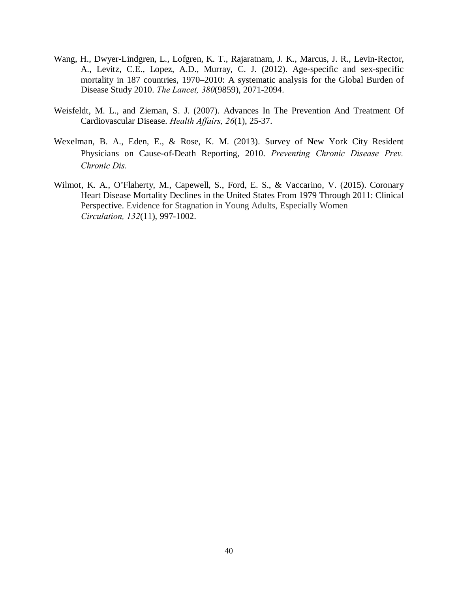- Wang, H., Dwyer-Lindgren, L., Lofgren, K. T., Rajaratnam, J. K., Marcus, J. R., Levin-Rector, A., Levitz, C.E., Lopez, A.D., Murray, C. J. (2012). Age-specific and sex-specific mortality in 187 countries, 1970–2010: A systematic analysis for the Global Burden of Disease Study 2010. *The Lancet, 380*(9859), 2071-2094.
- Weisfeldt, M. L., and Zieman, S. J. (2007). Advances In The Prevention And Treatment Of Cardiovascular Disease. *Health Affairs, 26*(1), 25-37.
- Wexelman, B. A., Eden, E., & Rose, K. M. (2013). Survey of New York City Resident Physicians on Cause-of-Death Reporting, 2010. *Preventing Chronic Disease Prev. Chronic Dis.*
- Wilmot, K. A., O'Flaherty, M., Capewell, S., Ford, E. S., & Vaccarino, V. (2015). Coronary Heart Disease Mortality Declines in the United States From 1979 Through 2011: Clinical Perspective. Evidence for Stagnation in Young Adults, Especially Women *Circulation, 132*(11), 997-1002.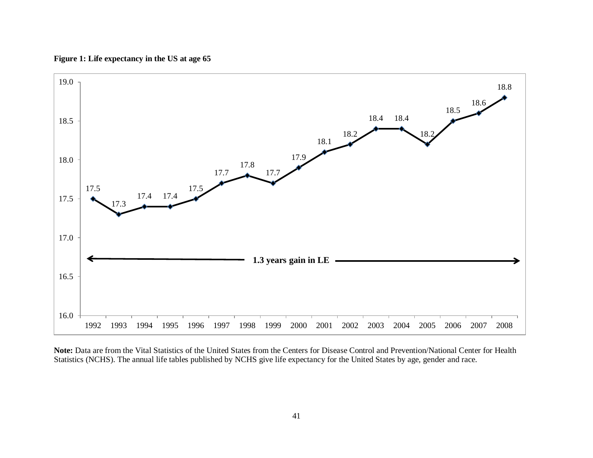



**Note:** Data are from the Vital Statistics of the United States from the Centers for Disease Control and Prevention/National Center for Health Statistics (NCHS). The annual life tables published by NCHS give life expectancy for the United States by age, gender and race.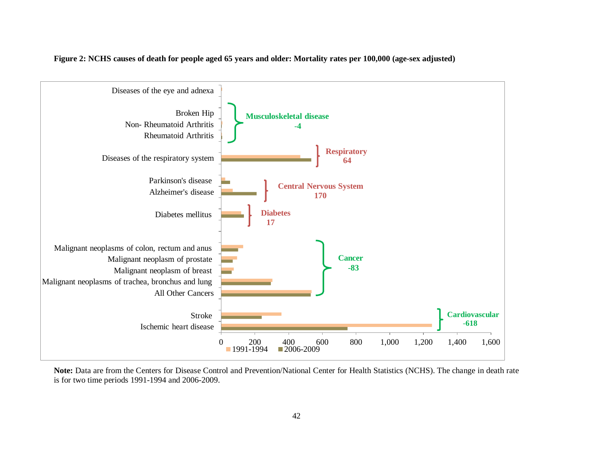

**Figure 2: NCHS causes of death for people aged 65 years and older: Mortality rates per 100,000 (age-sex adjusted)** 

**Note:** Data are from the Centers for Disease Control and Prevention/National Center for Health Statistics (NCHS). The change in death rate is for two time periods 1991-1994 and 2006-2009.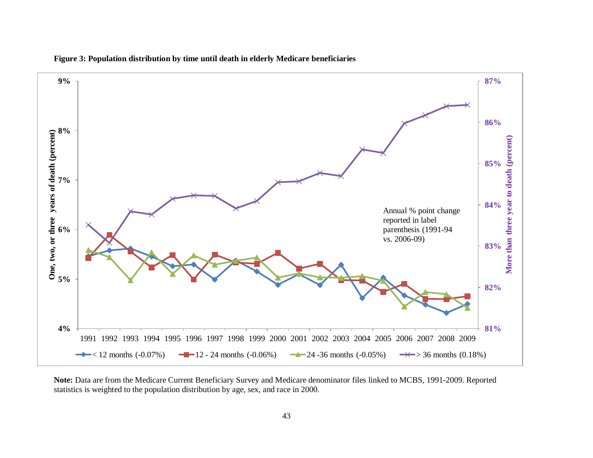

**Figure 3: Population distribution by time until death in elderly Medicare beneficiaries**

**Note:** Data are from the Medicare Current Beneficiary Survey and Medicare denominator files linked to MCBS, 1991-2009. Reported statistics is weighted to the population distribution by age, sex, and race in 2000.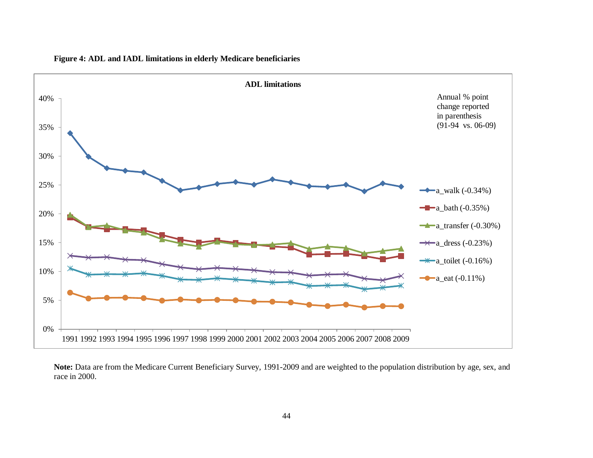

**Figure 4: ADL and IADL limitations in elderly Medicare beneficiaries**

**Note:** Data are from the Medicare Current Beneficiary Survey, 1991-2009 and are weighted to the population distribution by age, sex, and race in 2000.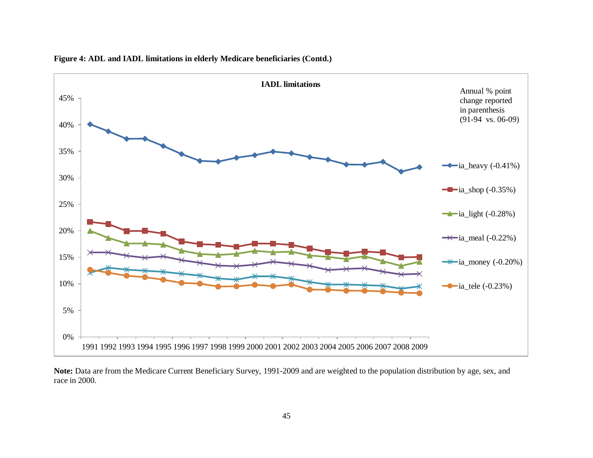

**Figure 4: ADL and IADL limitations in elderly Medicare beneficiaries (Contd.)**

**Note:** Data are from the Medicare Current Beneficiary Survey, 1991-2009 and are weighted to the population distribution by age, sex, and race in 2000.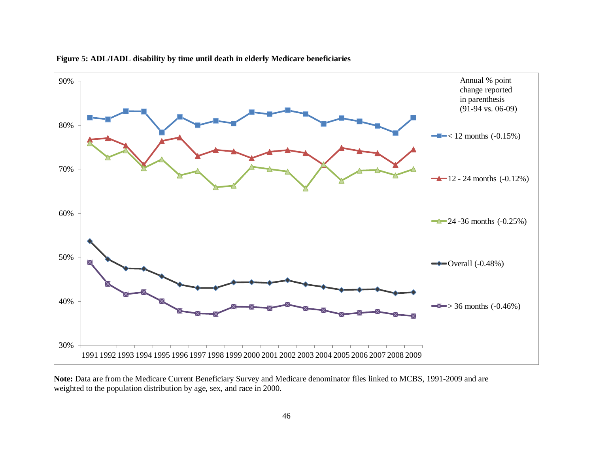

### **Figure 5: ADL/IADL disability by time until death in elderly Medicare beneficiaries**

**Note:** Data are from the Medicare Current Beneficiary Survey and Medicare denominator files linked to MCBS, 1991-2009 and are weighted to the population distribution by age, sex, and race in 2000.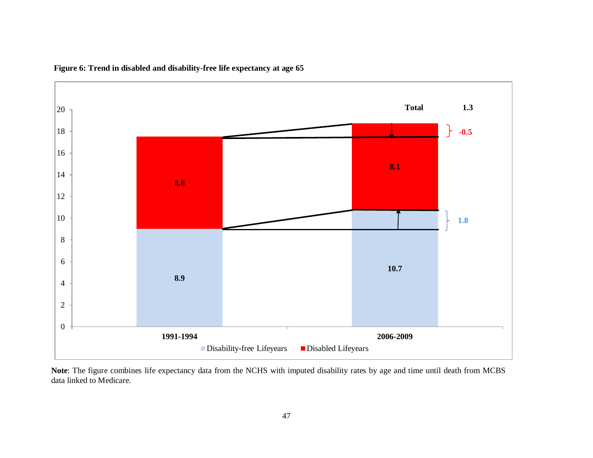

**Figure 6: Trend in disabled and disability-free life expectancy at age 65**

**Note**: The figure combines life expectancy data from the NCHS with imputed disability rates by age and time until death from MCBS data linked to Medicare.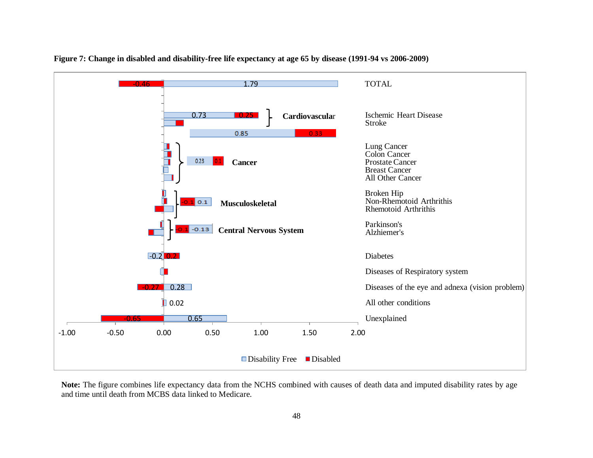

**Figure 7: Change in disabled and disability-free life expectancy at age 65 by disease (1991-94 vs 2006-2009)** 

**Note:** The figure combines life expectancy data from the NCHS combined with causes of death data and imputed disability rates by age and time until death from MCBS data linked to Medicare.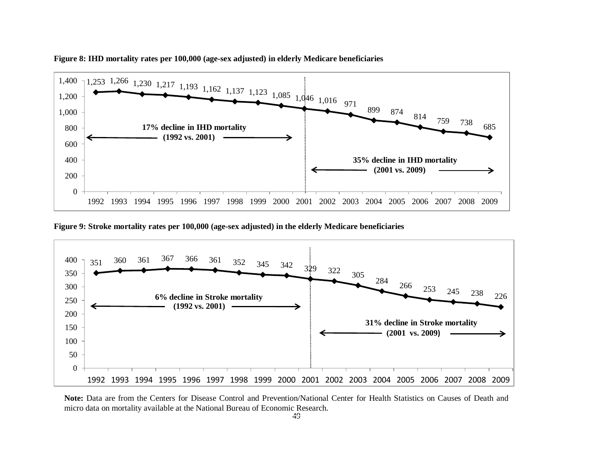

**Figure 8: IHD mortality rates per 100,000 (age-sex adjusted) in elderly Medicare beneficiaries**

**Figure 9: Stroke mortality rates per 100,000 (age-sex adjusted) in the elderly Medicare beneficiaries**



**Note:** Data are from the Centers for Disease Control and Prevention/National Center for Health Statistics on Causes of Death and micro data on mortality available at the National Bureau of Economic Research.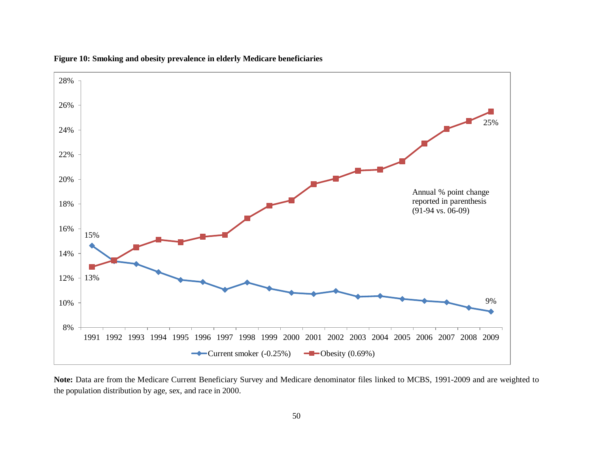

**Figure 10: Smoking and obesity prevalence in elderly Medicare beneficiaries** 

**Note:** Data are from the Medicare Current Beneficiary Survey and Medicare denominator files linked to MCBS, 1991-2009 and are weighted to the population distribution by age, sex, and race in 2000.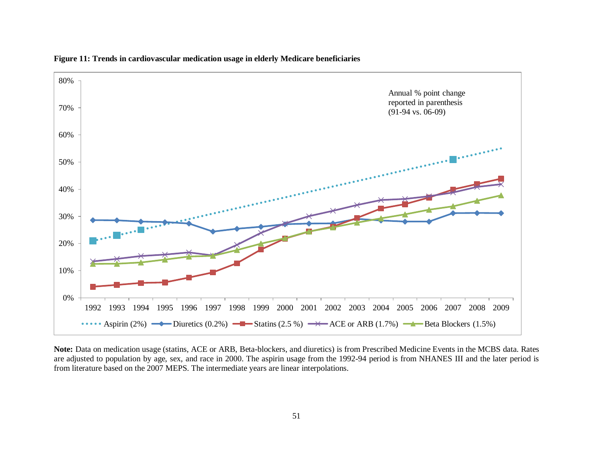

**Figure 11: Trends in cardiovascular medication usage in elderly Medicare beneficiaries** 

**Note:** Data on medication usage (statins, ACE or ARB, Beta-blockers, and diuretics) is from Prescribed Medicine Events in the MCBS data. Rates are adjusted to population by age, sex, and race in 2000. The aspirin usage from the 1992-94 period is from NHANES III and the later period is from literature based on the 2007 MEPS. The intermediate years are linear interpolations.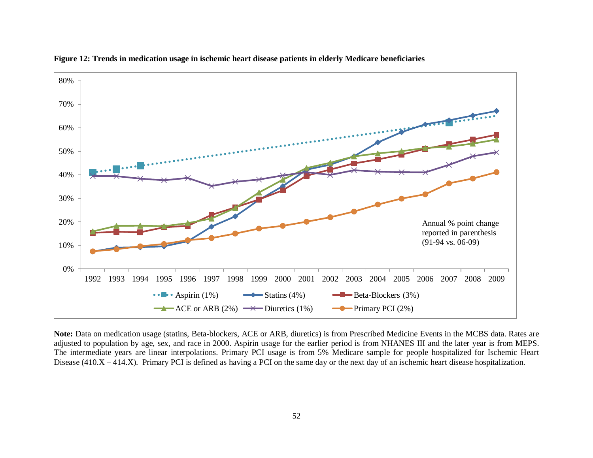

**Figure 12: Trends in medication usage in ischemic heart disease patients in elderly Medicare beneficiaries** 

**Note:** Data on medication usage (statins, Beta-blockers, ACE or ARB, diuretics) is from Prescribed Medicine Events in the MCBS data. Rates are adjusted to population by age, sex, and race in 2000. Aspirin usage for the earlier period is from NHANES III and the later year is from MEPS. The intermediate years are linear interpolations. Primary PCI usage is from 5% Medicare sample for people hospitalized for Ischemic Heart Disease (410.X – 414.X). Primary PCI is defined as having a PCI on the same day or the next day of an ischemic heart disease hospitalization.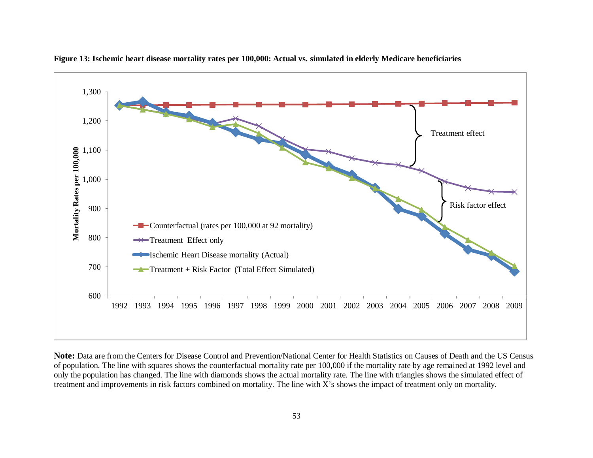

**Figure 13: Ischemic heart disease mortality rates per 100,000: Actual vs. simulated in elderly Medicare beneficiaries**

**Note:** Data are from the Centers for Disease Control and Prevention/National Center for Health Statistics on Causes of Death and the US Census of population. The line with squares shows the counterfactual mortality rate per 100,000 if the mortality rate by age remained at 1992 level and only the population has changed. The line with diamonds shows the actual mortality rate. The line with triangles shows the simulated effect of treatment and improvements in risk factors combined on mortality. The line with X's shows the impact of treatment only on mortality.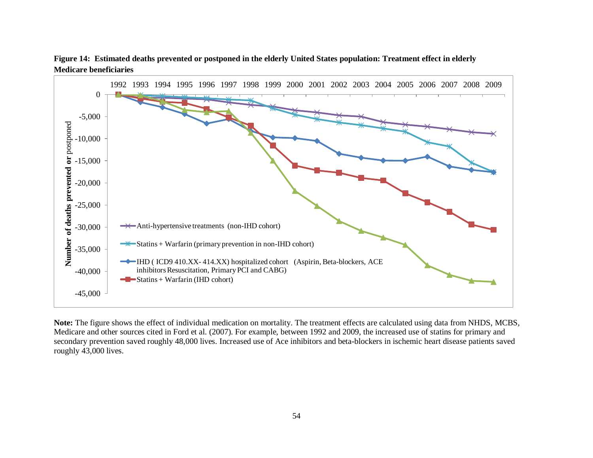

**Figure 14: Estimated deaths prevented or postponed in the elderly United States population: Treatment effect in elderly Medicare beneficiaries**

**Note:** The figure shows the effect of individual medication on mortality. The treatment effects are calculated using data from NHDS, MCBS, Medicare and other sources cited in Ford et al. (2007). For example, between 1992 and 2009, the increased use of statins for primary and secondary prevention saved roughly 48,000 lives. Increased use of Ace inhibitors and beta-blockers in ischemic heart disease patients saved roughly 43,000 lives.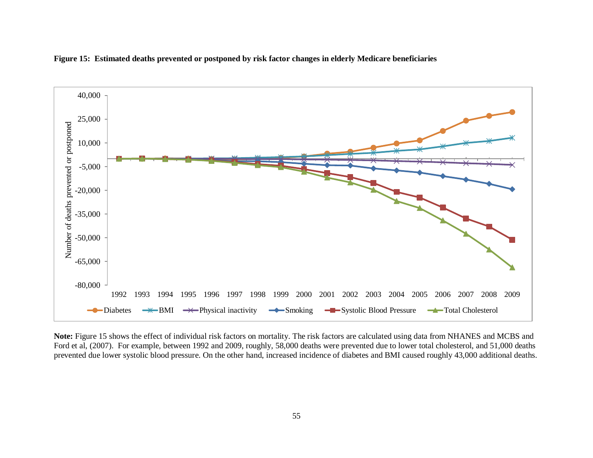

**Figure 15: Estimated deaths prevented or postponed by risk factor changes in elderly Medicare beneficiaries**

**Note:** Figure 15 shows the effect of individual risk factors on mortality. The risk factors are calculated using data from NHANES and MCBS and Ford et al, (2007). For example, between 1992 and 2009, roughly, 58,000 deaths were prevented due to lower total cholesterol, and 51,000 deaths prevented due lower systolic blood pressure. On the other hand, increased incidence of diabetes and BMI caused roughly 43,000 additional deaths.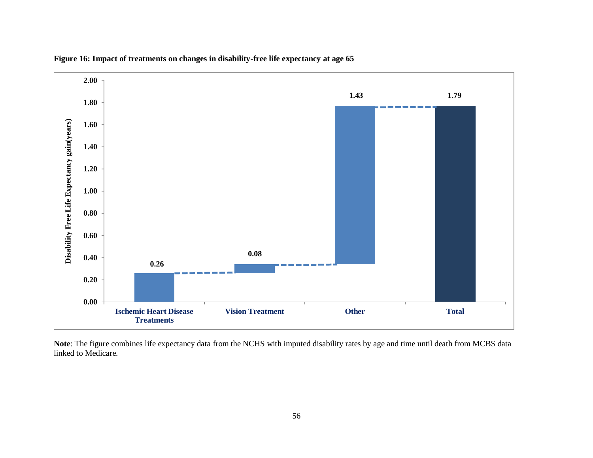

**Figure 16: Impact of treatments on changes in disability-free life expectancy at age 65** 

**Note**: The figure combines life expectancy data from the NCHS with imputed disability rates by age and time until death from MCBS data linked to Medicare.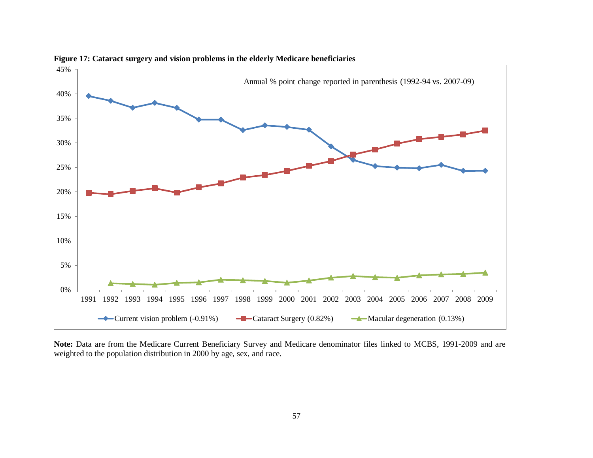

**Figure 17: Cataract surgery and vision problems in the elderly Medicare beneficiaries**

**Note:** Data are from the Medicare Current Beneficiary Survey and Medicare denominator files linked to MCBS, 1991-2009 and are weighted to the population distribution in 2000 by age, sex, and race.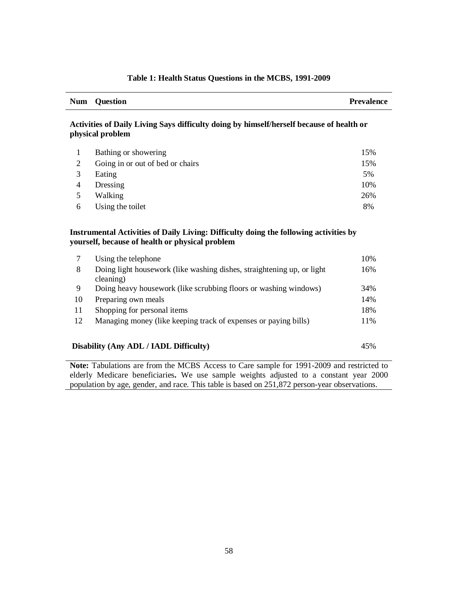| Table 1: Health Status Questions in the MCBS, 1991-2009 |  |  |  |
|---------------------------------------------------------|--|--|--|
|---------------------------------------------------------|--|--|--|

|                | <b>Question</b>                                                                                              | <b>Prevalence</b> |
|----------------|--------------------------------------------------------------------------------------------------------------|-------------------|
|                | Activities of Daily Living Says difficulty doing by himself/herself because of health or<br>physical problem |                   |
| 1              | Bathing or showering                                                                                         | 15%               |
| $\overline{2}$ | Going in or out of bed or chairs                                                                             | 15%               |
| 3              | Eating                                                                                                       | 5%                |
| 4              | Dressing                                                                                                     | 10%               |
| 5              | Walking                                                                                                      | 26%               |
| 6              | Using the toilet                                                                                             | 8%                |
|                | Instrumental Activities of Daily Living: Difficulty doing the following activities by                        |                   |
|                | yourself, because of health or physical problem                                                              |                   |
| $\tau$         | Using the telephone                                                                                          | 10%               |
| 8              | Doing light housework (like washing dishes, straightening up, or light<br>cleaning)                          | 16%               |
| 9              | Doing heavy housework (like scrubbing floors or washing windows)                                             | 34%               |
| 10             | Preparing own meals                                                                                          | 14%               |
| 11             | Shopping for personal items                                                                                  | 18%               |

**Note:** Tabulations are from the MCBS Access to Care sample for 1991-2009 and restricted to elderly Medicare beneficiaries**.** We use sample weights adjusted to a constant year 2000 population by age, gender, and race. This table is based on 251,872 person-year observations.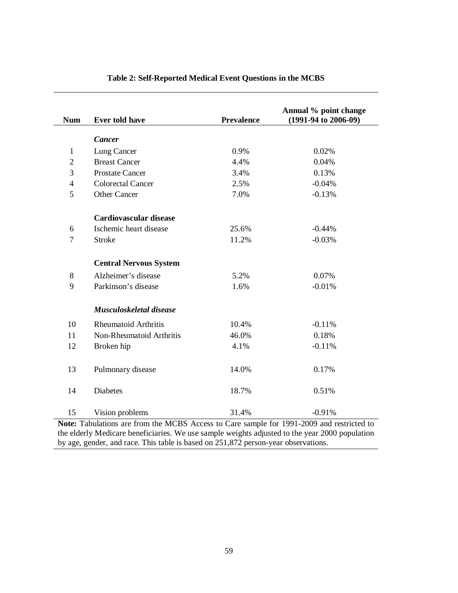| <b>Num</b>        | <b>Ever told have</b>                      | <b>Prevalence</b>            | Annual % point change<br>$(1991-94 \text{ to } 2006-09)$                                             |
|-------------------|--------------------------------------------|------------------------------|------------------------------------------------------------------------------------------------------|
|                   | <b>Cancer</b>                              |                              |                                                                                                      |
| $\mathbf{1}$      | Lung Cancer                                | 0.9%                         | 0.02%                                                                                                |
| $\overline{2}$    | <b>Breast Cancer</b>                       | 4.4%                         | 0.04%                                                                                                |
| 3                 | <b>Prostate Cancer</b>                     | 3.4%                         | 0.13%                                                                                                |
| $\overline{4}$    | <b>Colorectal Cancer</b>                   | 2.5%                         | $-0.04%$                                                                                             |
| 5                 | <b>Other Cancer</b>                        | 7.0%                         | $-0.13%$                                                                                             |
|                   | <b>Cardiovascular disease</b>              |                              |                                                                                                      |
| 6                 | Ischemic heart disease                     | 25.6%                        | $-0.44%$                                                                                             |
| $\overline{7}$    | <b>Stroke</b>                              | 11.2%                        | $-0.03%$                                                                                             |
|                   | <b>Central Nervous System</b>              |                              |                                                                                                      |
| 8                 | Alzheimer's disease                        | 5.2%                         | 0.07%                                                                                                |
| 9                 | Parkinson's disease                        | 1.6%                         | $-0.01%$                                                                                             |
|                   | Musculoskeletal disease                    |                              |                                                                                                      |
| 10                | <b>Rheumatoid Arthritis</b>                | 10.4%                        | $-0.11%$                                                                                             |
| 11                | Non-Rheumatoid Arthritis                   | 46.0%                        | 0.18%                                                                                                |
| 12                | Broken hip                                 | 4.1%                         | $-0.11%$                                                                                             |
| 13                | Pulmonary disease                          | 14.0%                        | 0.17%                                                                                                |
| 14                | Diabetes                                   | 18.7%                        | 0.51%                                                                                                |
| 15<br><b>BT</b> 4 | Vision problems<br>$T = 1 + t$ $T = 1 + t$ | 31.4%<br>⌒<br>$\blacksquare$ | $-0.91%$<br>$\mathbf{C}$<br>$\sim$ $\sim$ $\sim$ $\sim$ $\sim$ $\sim$<br>1001.2000<br>$\blacksquare$ |

### **Table 2: Self-Reported Medical Event Questions in the MCBS**

**Note:** Tabulations are from the MCBS Access to Care sample for 1991-2009 and restricted to the elderly Medicare beneficiaries. We use sample weights adjusted to the year 2000 population by age, gender, and race. This table is based on 251,872 person-year observations.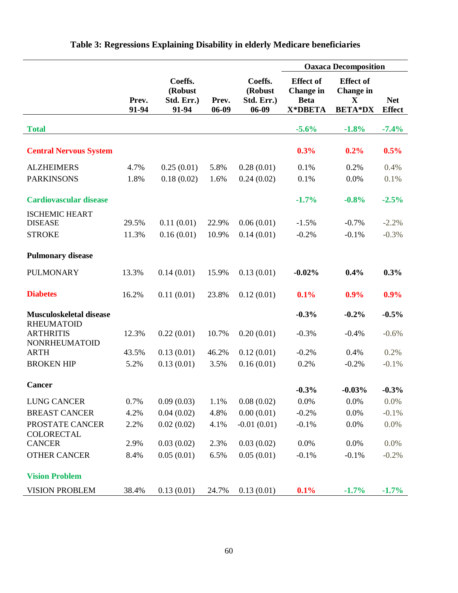|                                                               |                |                                           |                |                                             | <b>Oaxaca Decomposition</b>                                    |                                                                        |                             |  |
|---------------------------------------------------------------|----------------|-------------------------------------------|----------------|---------------------------------------------|----------------------------------------------------------------|------------------------------------------------------------------------|-----------------------------|--|
|                                                               | Prev.<br>91-94 | Coeffs.<br>(Robust<br>Std. Err.)<br>91-94 | Prev.<br>06-09 | Coeffs.<br>(Robust<br>Std. Err.)<br>$06-09$ | <b>Effect of</b><br><b>Change</b> in<br><b>Beta</b><br>X*DBETA | <b>Effect of</b><br><b>Change</b> in<br>$\mathbf{X}$<br><b>BETA*DX</b> | <b>Net</b><br><b>Effect</b> |  |
| <b>Total</b>                                                  |                |                                           |                |                                             | $-5.6%$                                                        | $-1.8%$                                                                | $-7.4%$                     |  |
| <b>Central Nervous System</b>                                 |                |                                           |                |                                             | 0.3%                                                           | 0.2%                                                                   | 0.5%                        |  |
| <b>ALZHEIMERS</b>                                             | 4.7%           | 0.25(0.01)                                | 5.8%           | 0.28(0.01)                                  | 0.1%                                                           | 0.2%                                                                   | 0.4%                        |  |
| <b>PARKINSONS</b>                                             | 1.8%           | 0.18(0.02)                                | 1.6%           | 0.24(0.02)                                  | 0.1%                                                           | 0.0%                                                                   | 0.1%                        |  |
| <b>Cardiovascular disease</b>                                 |                |                                           |                |                                             | $-1.7%$                                                        | $-0.8%$                                                                | $-2.5%$                     |  |
| <b>ISCHEMIC HEART</b><br><b>DISEASE</b>                       | 29.5%          | 0.11(0.01)                                | 22.9%          | 0.06(0.01)                                  | $-1.5%$                                                        | $-0.7%$                                                                | $-2.2%$                     |  |
| <b>STROKE</b>                                                 | 11.3%          | 0.16(0.01)                                | 10.9%          | 0.14(0.01)                                  | $-0.2%$                                                        | $-0.1%$                                                                | $-0.3%$                     |  |
| <b>Pulmonary disease</b>                                      |                |                                           |                |                                             |                                                                |                                                                        |                             |  |
| <b>PULMONARY</b>                                              | 13.3%          | 0.14(0.01)                                | 15.9%          | 0.13(0.01)                                  | $-0.02%$                                                       | 0.4%                                                                   | 0.3%                        |  |
| <b>Diabetes</b>                                               | 16.2%          | 0.11(0.01)                                | 23.8%          | 0.12(0.01)                                  | 0.1%                                                           | 0.9%                                                                   | 0.9%                        |  |
| <b>Musculoskeletal disease</b>                                |                |                                           |                |                                             | $-0.3%$                                                        | $-0.2%$                                                                | $-0.5%$                     |  |
| <b>RHEUMATOID</b><br><b>ARTHRITIS</b><br><b>NONRHEUMATOID</b> | 12.3%          | 0.22(0.01)                                | 10.7%          | 0.20(0.01)                                  | $-0.3%$                                                        | $-0.4%$                                                                | $-0.6%$                     |  |
| <b>ARTH</b>                                                   | 43.5%          | 0.13(0.01)                                | 46.2%          | 0.12(0.01)                                  | $-0.2%$                                                        | 0.4%                                                                   | 0.2%                        |  |
| <b>BROKEN HIP</b>                                             | 5.2%           | 0.13(0.01)                                | 3.5%           | 0.16(0.01)                                  | 0.2%                                                           | $-0.2%$                                                                | $-0.1%$                     |  |
| <b>Cancer</b>                                                 |                |                                           |                |                                             | $-0.3%$                                                        | $-0.03\%$                                                              | $-0.3\%$                    |  |
| <b>LUNG CANCER</b>                                            | 0.7%           | 0.09(0.03)                                | 1.1%           | 0.08(0.02)                                  | 0.0%                                                           | 0.0%                                                                   | 0.0%                        |  |
| <b>BREAST CANCER</b>                                          | 4.2%           | 0.04(0.02)                                | 4.8%           | 0.00(0.01)                                  | $-0.2%$                                                        | 0.0%                                                                   | $-0.1%$                     |  |
| PROSTATE CANCER<br><b>COLORECTAL</b>                          | 2.2%           | 0.02(0.02)                                | 4.1%           | $-0.01(0.01)$                               | $-0.1%$                                                        | 0.0%                                                                   | 0.0%                        |  |
| <b>CANCER</b>                                                 | 2.9%           | 0.03(0.02)                                | 2.3%           | 0.03(0.02)                                  | 0.0%                                                           | 0.0%                                                                   | 0.0%                        |  |
| <b>OTHER CANCER</b>                                           | 8.4%           | 0.05(0.01)                                | 6.5%           | 0.05(0.01)                                  | $-0.1%$                                                        | $-0.1%$                                                                | $-0.2%$                     |  |
| <b>Vision Problem</b>                                         |                |                                           |                |                                             |                                                                |                                                                        |                             |  |
| <b>VISION PROBLEM</b>                                         | 38.4%          | 0.13(0.01)                                | 24.7%          | 0.13(0.01)                                  | 0.1%                                                           | $-1.7%$                                                                | $-1.7\%$                    |  |

## **Table 3: Regressions Explaining Disability in elderly Medicare beneficiaries**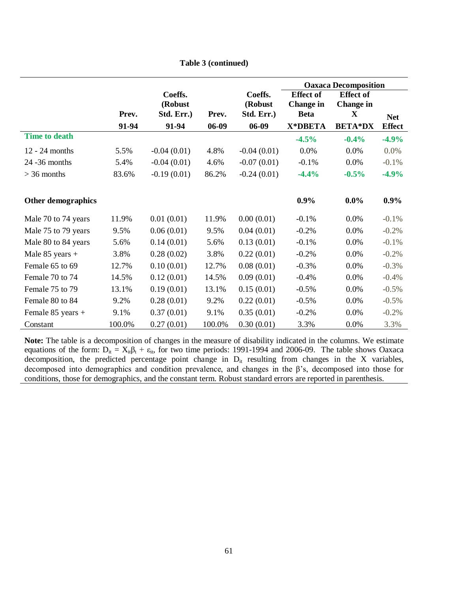|                           |        |                                  |        |                                  | <b>Oaxaca Decomposition</b>                         |                                           |               |
|---------------------------|--------|----------------------------------|--------|----------------------------------|-----------------------------------------------------|-------------------------------------------|---------------|
|                           | Prev.  | Coeffs.<br>(Robust<br>Std. Err.) | Prev.  | Coeffs.<br>(Robust<br>Std. Err.) | <b>Effect of</b><br><b>Change in</b><br><b>Beta</b> | <b>Effect of</b><br><b>Change in</b><br>X | <b>Net</b>    |
|                           | 91-94  | 91-94                            | 06-09  | $06-09$                          | X*DBETA                                             | <b>BETA*DX</b>                            | <b>Effect</b> |
| <b>Time to death</b>      |        |                                  |        |                                  | $-4.5%$                                             | $-0.4%$                                   | $-4.9%$       |
| 12 - 24 months            | 5.5%   | $-0.04(0.01)$                    | 4.8%   | $-0.04(0.01)$                    | 0.0%                                                | 0.0%                                      | 0.0%          |
| 24 - 36 months            | 5.4%   | $-0.04(0.01)$                    | 4.6%   | $-0.07(0.01)$                    | $-0.1%$                                             | 0.0%                                      | $-0.1%$       |
| $>$ 36 months             | 83.6%  | $-0.19(0.01)$                    | 86.2%  | $-0.24(0.01)$                    | $-4.4%$                                             | $-0.5%$                                   | $-4.9%$       |
|                           |        |                                  |        |                                  |                                                     |                                           |               |
| <b>Other demographics</b> |        |                                  |        |                                  | 0.9%                                                | $0.0\%$                                   | $0.9\%$       |
| Male 70 to 74 years       | 11.9%  | 0.01(0.01)                       | 11.9%  | 0.00(0.01)                       | $-0.1%$                                             | 0.0%                                      | $-0.1%$       |
| Male 75 to 79 years       | 9.5%   | 0.06(0.01)                       | 9.5%   | 0.04(0.01)                       | $-0.2%$                                             | 0.0%                                      | $-0.2%$       |
| Male 80 to 84 years       | 5.6%   | 0.14(0.01)                       | 5.6%   | 0.13(0.01)                       | $-0.1%$                                             | 0.0%                                      | $-0.1%$       |
| Male $85$ years +         | 3.8%   | 0.28(0.02)                       | 3.8%   | 0.22(0.01)                       | $-0.2%$                                             | 0.0%                                      | $-0.2%$       |
| Female 65 to 69           | 12.7%  | 0.10(0.01)                       | 12.7%  | 0.08(0.01)                       | $-0.3%$                                             | 0.0%                                      | $-0.3%$       |
| Female 70 to 74           | 14.5%  | 0.12(0.01)                       | 14.5%  | 0.09(0.01)                       | $-0.4%$                                             | 0.0%                                      | $-0.4%$       |
| Female 75 to 79           | 13.1%  | 0.19(0.01)                       | 13.1%  | 0.15(0.01)                       | $-0.5%$                                             | 0.0%                                      | $-0.5%$       |
| Female 80 to 84           | 9.2%   | 0.28(0.01)                       | 9.2%   | 0.22(0.01)                       | $-0.5%$                                             | 0.0%                                      | $-0.5%$       |
| Female 85 years +         | 9.1%   | 0.37(0.01)                       | 9.1%   | 0.35(0.01)                       | $-0.2%$                                             | 0.0%                                      | $-0.2%$       |
| Constant                  | 100.0% | 0.27(0.01)                       | 100.0% | 0.30(0.01)                       | 3.3%                                                | 0.0%                                      | 3.3%          |

**Table 3 (continued)**

**Note:** The table is a decomposition of changes in the measure of disability indicated in the columns. We estimate equations of the form:  $D_{it} = X_{it} \beta_t + \varepsilon_{it}$ , for two time periods: 1991-1994 and 2006-09. The table shows Oaxaca decomposition, the predicted percentage point change in  $D_{it}$  resulting from changes in the X variables, decomposed into demographics and condition prevalence, and changes in the β's, decomposed into those for conditions, those for demographics, and the constant term. Robust standard errors are reported in parenthesis.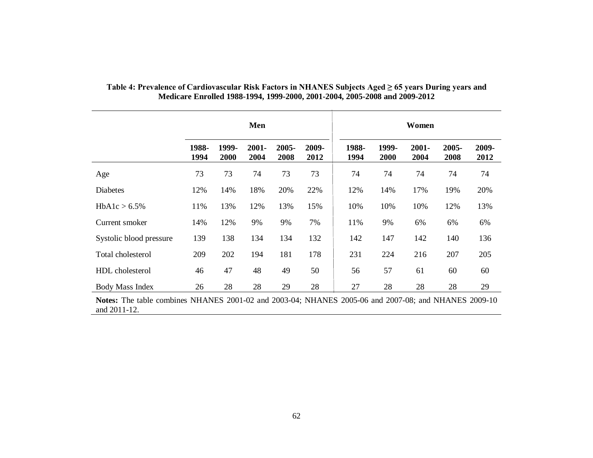|                         | Men           |               |               |               | Women         |               |               |               |               |               |
|-------------------------|---------------|---------------|---------------|---------------|---------------|---------------|---------------|---------------|---------------|---------------|
|                         | 1988-<br>1994 | 1999-<br>2000 | 2001-<br>2004 | 2005-<br>2008 | 2009-<br>2012 | 1988-<br>1994 | 1999-<br>2000 | 2001-<br>2004 | 2005-<br>2008 | 2009-<br>2012 |
| Age                     | 73            | 73            | 74            | 73            | 73            | 74            | 74            | 74            | 74            | 74            |
| <b>Diabetes</b>         | 12%           | 14%           | 18%           | 20%           | 22%           | 12%           | 14%           | 17%           | 19%           | 20%           |
| HbA1c > 6.5%            | 11%           | 13%           | 12%           | 13%           | 15%           | 10%           | 10%           | 10%           | 12%           | 13%           |
| Current smoker          | 14%           | 12%           | 9%            | 9%            | 7%            | 11%           | 9%            | 6%            | 6%            | 6%            |
| Systolic blood pressure | 139           | 138           | 134           | 134           | 132           | 142           | 147           | 142           | 140           | 136           |
| Total cholesterol       | 209           | 202           | 194           | 181           | 178           | 231           | 224           | 216           | 207           | 205           |
| HDL cholesterol         | 46            | 47            | 48            | 49            | 50            | 56            | 57            | 61            | 60            | 60            |
| <b>Body Mass Index</b>  | 26            | 28            | 28            | 29            | 28            | 27            | 28            | 28            | 28            | 29            |

## **Table 4: Prevalence of Cardiovascular Risk Factors in NHANES Subjects Aged ≥ 65 years During years and Medicare Enrolled 1988-1994, 1999-2000, 2001-2004, 2005-2008 and 2009-2012**

**Notes:** The table combines NHANES 2001-02 and 2003-04; NHANES 2005-06 and 2007-08; and NHANES 2009-10 and 2011-12.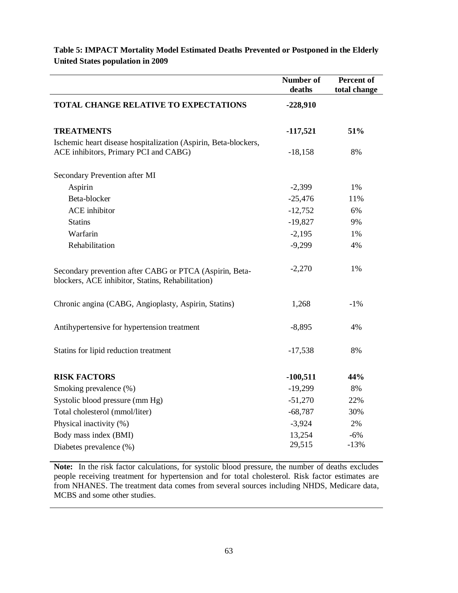|                                                                                                              | <b>Number of</b><br>deaths | Percent of<br>total change |
|--------------------------------------------------------------------------------------------------------------|----------------------------|----------------------------|
| <b>TOTAL CHANGE RELATIVE TO EXPECTATIONS</b>                                                                 | $-228,910$                 |                            |
| <b>TREATMENTS</b>                                                                                            | $-117,521$                 | 51%                        |
| Ischemic heart disease hospitalization (Aspirin, Beta-blockers,<br>ACE inhibitors, Primary PCI and CABG)     | $-18,158$                  | 8%                         |
| Secondary Prevention after MI                                                                                |                            |                            |
| Aspirin                                                                                                      | $-2,399$                   | 1%                         |
| Beta-blocker                                                                                                 | $-25,476$                  | 11%                        |
| <b>ACE</b> inhibitor                                                                                         | $-12,752$                  | 6%                         |
| <b>Statins</b>                                                                                               | $-19,827$                  | 9%                         |
| Warfarin                                                                                                     | $-2,195$                   | 1%                         |
| Rehabilitation                                                                                               | $-9,299$                   | 4%                         |
| Secondary prevention after CABG or PTCA (Aspirin, Beta-<br>blockers, ACE inhibitor, Statins, Rehabilitation) | $-2,270$                   | 1%                         |
| Chronic angina (CABG, Angioplasty, Aspirin, Statins)                                                         | 1,268                      | $-1\%$                     |
| Antihypertensive for hypertension treatment                                                                  | $-8,895$                   | 4%                         |
| Statins for lipid reduction treatment                                                                        | $-17,538$                  | 8%                         |
| <b>RISK FACTORS</b>                                                                                          | $-100,511$                 | 44%                        |
| Smoking prevalence (%)                                                                                       | $-19,299$                  | 8%                         |
| Systolic blood pressure (mm Hg)                                                                              | $-51,270$                  | 22%                        |
| Total cholesterol (mmol/liter)                                                                               | $-68,787$                  | 30%                        |
| Physical inactivity (%)                                                                                      | $-3,924$                   | 2%                         |
| Body mass index (BMI)                                                                                        | 13,254                     | $-6%$                      |
| Diabetes prevalence (%)                                                                                      | 29,515                     | $-13%$                     |

**Table 5: IMPACT Mortality Model Estimated Deaths Prevented or Postponed in the Elderly United States population in 2009** 

**Note:** In the risk factor calculations, for systolic blood pressure, the number of deaths excludes people receiving treatment for hypertension and for total cholesterol. Risk factor estimates are from NHANES. The treatment data comes from several sources including NHDS, Medicare data, MCBS and some other studies.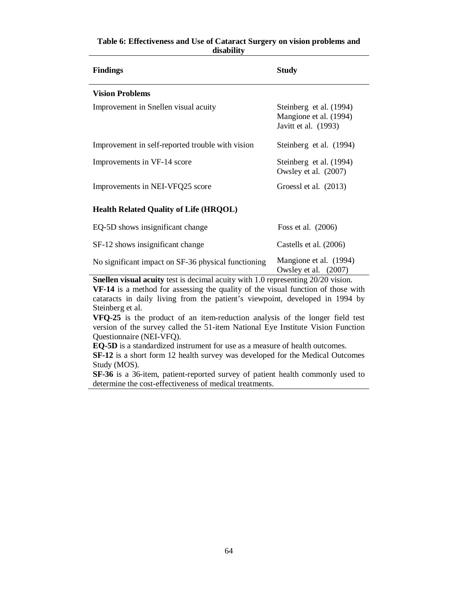| <b>Findings</b>                                                                                                                                          | <b>Study</b>                                                                |
|----------------------------------------------------------------------------------------------------------------------------------------------------------|-----------------------------------------------------------------------------|
| <b>Vision Problems</b>                                                                                                                                   |                                                                             |
| Improvement in Snellen visual acuity                                                                                                                     | Steinberg et al. (1994)<br>Mangione et al. (1994)<br>Javitt et al. (1993)   |
| Improvement in self-reported trouble with vision                                                                                                         | Steinberg et al. (1994)                                                     |
| Improvements in VF-14 score                                                                                                                              | Steinberg et al. (1994)<br>Owsley et al. (2007)                             |
| Improvements in NEI-VFQ25 score                                                                                                                          | Groessl et al. $(2013)$                                                     |
| <b>Health Related Quality of Life (HRQOL)</b>                                                                                                            |                                                                             |
| EQ-5D shows insignificant change                                                                                                                         | Foss et al. $(2006)$                                                        |
| SF-12 shows insignificant change                                                                                                                         | Castells et al. (2006)                                                      |
| No significant impact on SF-36 physical functioning<br>$\alpha$ <b>1</b> $\alpha$ <b>1</b> $\alpha$ <b>1</b> $\alpha$ <b>1 1</b> $\alpha$ <b>1 1 1 1</b> | Mangione et al. (1994)<br>Owsley et al. (2007)<br>$\mathbf{r}$ $\mathbf{a}$ |

### **Table 6: Effectiveness and Use of Cataract Surgery on vision problems and disability**

**Snellen visual acuity** test is decimal acuity with 1.0 representing 20/20 vision.

**VF-14** is a method for assessing the quality of the visual function of those with cataracts in daily living from the patient's viewpoint, developed in 1994 by Steinberg et al.

**VFQ-25** is the product of an item-reduction analysis of the longer field test version of the survey called the 51-item National Eye Institute Vision Function Questionnaire (NEI-VFQ).

**EQ-5D** is a standardized instrument for use as a measure of health outcomes.

**SF-12** is a short form 12 health survey was developed for the Medical Outcomes Study (MOS).

**SF-36** is a 36-item, patient-reported survey of patient health commonly used to determine the [cost-effectiveness](http://en.wikipedia.org/wiki/Cost-effectiveness) of medical treatments.